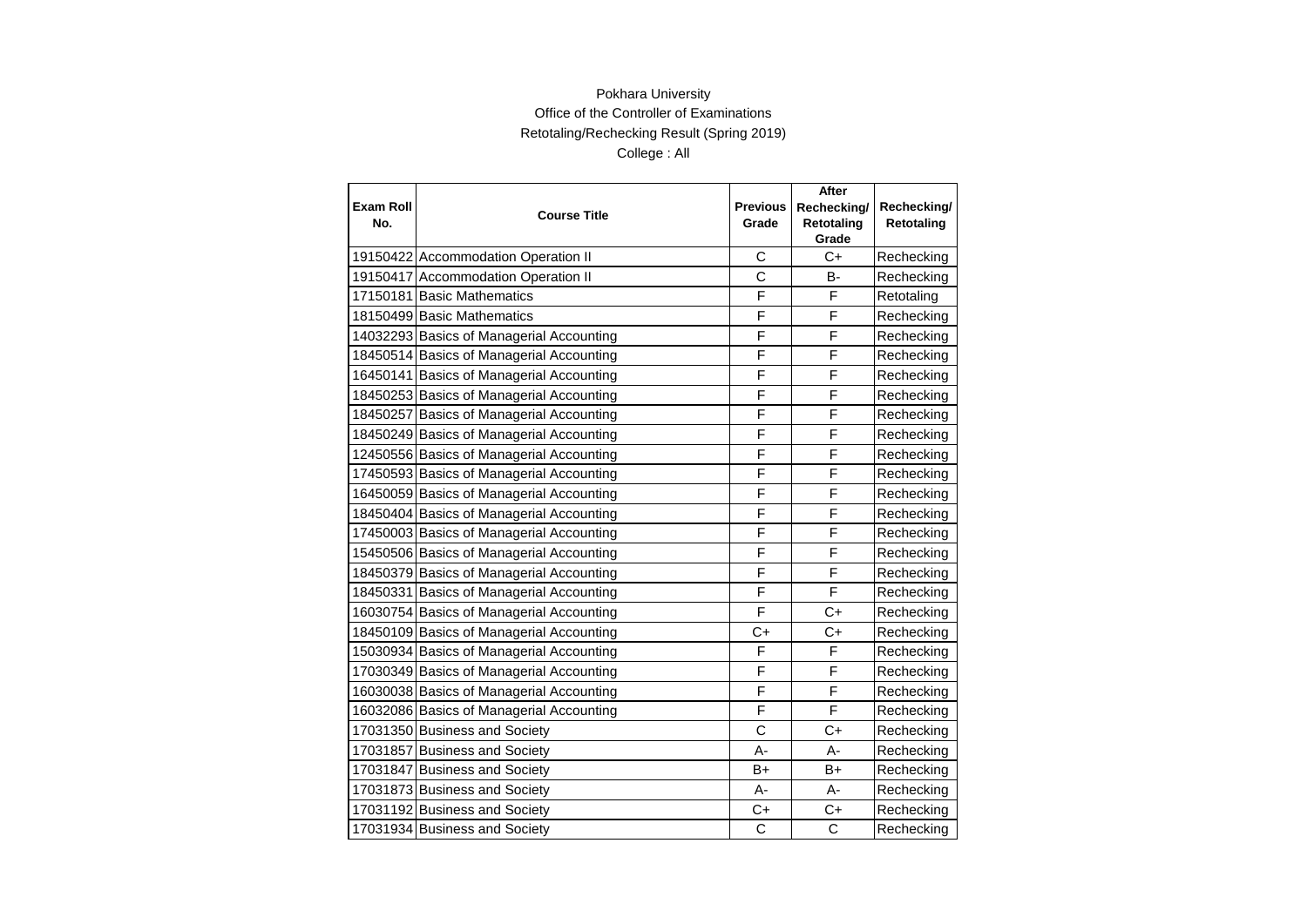|                         |                                          |                          | After                     |                           |
|-------------------------|------------------------------------------|--------------------------|---------------------------|---------------------------|
| <b>Exam Roll</b><br>No. | <b>Course Title</b>                      | <b>Previous</b><br>Grade | Rechecking/<br>Retotaling | Rechecking/<br>Retotaling |
|                         |                                          |                          | Grade                     |                           |
|                         | 19150422 Accommodation Operation II      | С                        | $C+$                      | Rechecking                |
|                         | 19150417 Accommodation Operation II      | C                        | <b>B-</b>                 | Rechecking                |
|                         | 17150181 Basic Mathematics               | F                        | F                         | Retotaling                |
|                         | 18150499 Basic Mathematics               | F                        | F                         | Rechecking                |
|                         | 14032293 Basics of Managerial Accounting | F                        | F                         | Rechecking                |
|                         | 18450514 Basics of Managerial Accounting | F                        | F                         | Rechecking                |
|                         | 16450141 Basics of Managerial Accounting | F                        | F                         | Rechecking                |
|                         | 18450253 Basics of Managerial Accounting | F                        | F                         | Rechecking                |
|                         | 18450257 Basics of Managerial Accounting | F                        | F                         | Rechecking                |
|                         | 18450249 Basics of Managerial Accounting | F                        | F                         | Rechecking                |
|                         | 12450556 Basics of Managerial Accounting | F                        | F                         | Rechecking                |
|                         | 17450593 Basics of Managerial Accounting | F                        | F                         | Rechecking                |
|                         | 16450059 Basics of Managerial Accounting | F                        | F                         | Rechecking                |
|                         | 18450404 Basics of Managerial Accounting | F                        | F                         | Rechecking                |
|                         | 17450003 Basics of Managerial Accounting | F                        | F                         | Rechecking                |
|                         | 15450506 Basics of Managerial Accounting | F                        | F                         | Rechecking                |
|                         | 18450379 Basics of Managerial Accounting | F                        | F                         | Rechecking                |
|                         | 18450331 Basics of Managerial Accounting | F                        | F                         | Rechecking                |
|                         | 16030754 Basics of Managerial Accounting | F                        | $C+$                      | Rechecking                |
|                         | 18450109 Basics of Managerial Accounting | $C+$                     | $C+$                      | Rechecking                |
|                         | 15030934 Basics of Managerial Accounting | F                        | F                         | Rechecking                |
|                         | 17030349 Basics of Managerial Accounting | F                        | F                         | Rechecking                |
|                         | 16030038 Basics of Managerial Accounting | F                        | F                         | Rechecking                |
|                         | 16032086 Basics of Managerial Accounting | F                        | F                         | Rechecking                |
|                         | 17031350 Business and Society            | C                        | $C+$                      | Rechecking                |
|                         | 17031857 Business and Society            | A-                       | A-                        | Rechecking                |
|                         | 17031847 Business and Society            | $B+$                     | B+                        | Rechecking                |
|                         | 17031873 Business and Society            | А-                       | А-                        | Rechecking                |
|                         | 17031192 Business and Society            | $C+$                     | $C+$                      | Rechecking                |
|                         | 17031934 Business and Society            | C                        | C                         | Rechecking                |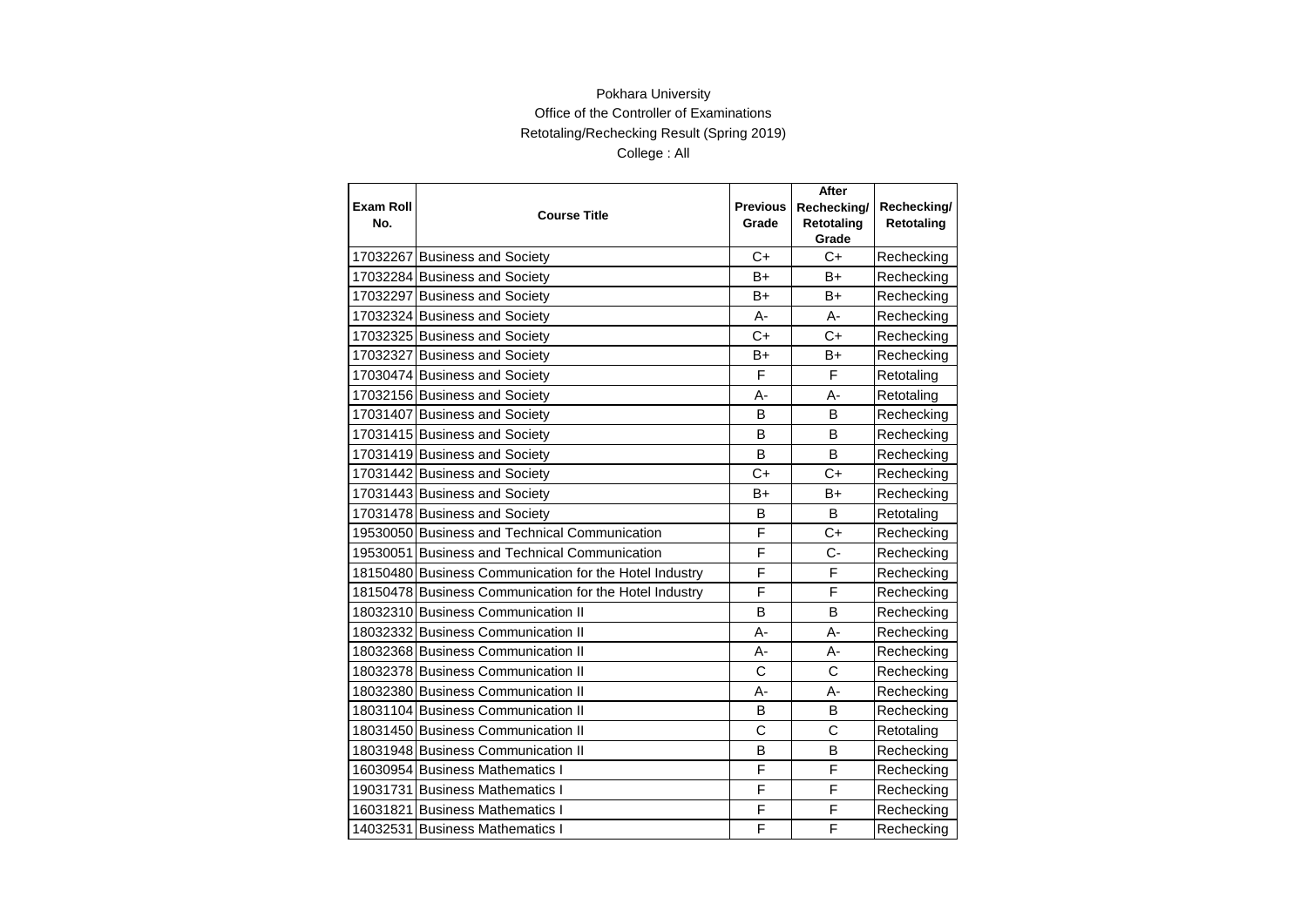| <b>Exam Roll</b><br>No. | <b>Course Title</b>                                    | <b>Previous</b><br>Grade | After<br>Rechecking/<br>Retotaling | Rechecking/<br>Retotaling |
|-------------------------|--------------------------------------------------------|--------------------------|------------------------------------|---------------------------|
|                         |                                                        |                          | Grade                              |                           |
|                         | 17032267 Business and Society                          | $C+$                     | $C+$                               | Rechecking                |
|                         | 17032284 Business and Society                          | $B+$                     | $B+$                               | Rechecking                |
|                         | 17032297 Business and Society                          | B+                       | B+                                 | Rechecking                |
|                         | 17032324 Business and Society                          | $A -$                    | $A -$                              | Rechecking                |
|                         | 17032325 Business and Society                          | $C+$                     | $C+$                               | Rechecking                |
|                         | 17032327 Business and Society                          | $B+$                     | $B+$                               | Rechecking                |
|                         | 17030474 Business and Society                          | F                        | F                                  | Retotaling                |
|                         | 17032156 Business and Society                          | $A -$                    | А-                                 | Retotaling                |
|                         | 17031407 Business and Society                          | B                        | B                                  | Rechecking                |
|                         | 17031415 Business and Society                          | B                        | B                                  | Rechecking                |
|                         | 17031419 Business and Society                          | B                        | B                                  | Rechecking                |
|                         | 17031442 Business and Society                          | $C+$                     | $C+$                               | Rechecking                |
|                         | 17031443 Business and Society                          | B+                       | B+                                 | Rechecking                |
|                         | 17031478 Business and Society                          | B                        | B                                  | Retotaling                |
|                         | 19530050 Business and Technical Communication          | F                        | $C+$                               | Rechecking                |
|                         | 19530051 Business and Technical Communication          | F                        | $C -$                              | Rechecking                |
|                         | 18150480 Business Communication for the Hotel Industry | F                        | F                                  | Rechecking                |
|                         | 18150478 Business Communication for the Hotel Industry | F                        | F                                  | Rechecking                |
|                         | 18032310 Business Communication II                     | B                        | B                                  | Rechecking                |
|                         | 18032332 Business Communication II                     | A-                       | A-                                 | Rechecking                |
|                         | 18032368 Business Communication II                     | A-                       | А-                                 | Rechecking                |
|                         | 18032378 Business Communication II                     | $\mathsf{C}$             | Ċ                                  | Rechecking                |
|                         | 18032380 Business Communication II                     | А-                       | А-                                 | Rechecking                |
|                         | 18031104 Business Communication II                     | В                        | B                                  | Rechecking                |
|                         | 18031450 Business Communication II                     | $\mathsf{C}$             | $\mathsf{C}$                       | Retotaling                |
|                         | 18031948 Business Communication II                     | B                        | B                                  | Rechecking                |
|                         | 16030954 Business Mathematics I                        | F                        | F                                  | Rechecking                |
|                         | 19031731 Business Mathematics I                        | F                        | F                                  | Rechecking                |
|                         | 16031821 Business Mathematics I                        | F                        | F                                  | Rechecking                |
|                         | 14032531 Business Mathematics I                        | F                        | F                                  | Rechecking                |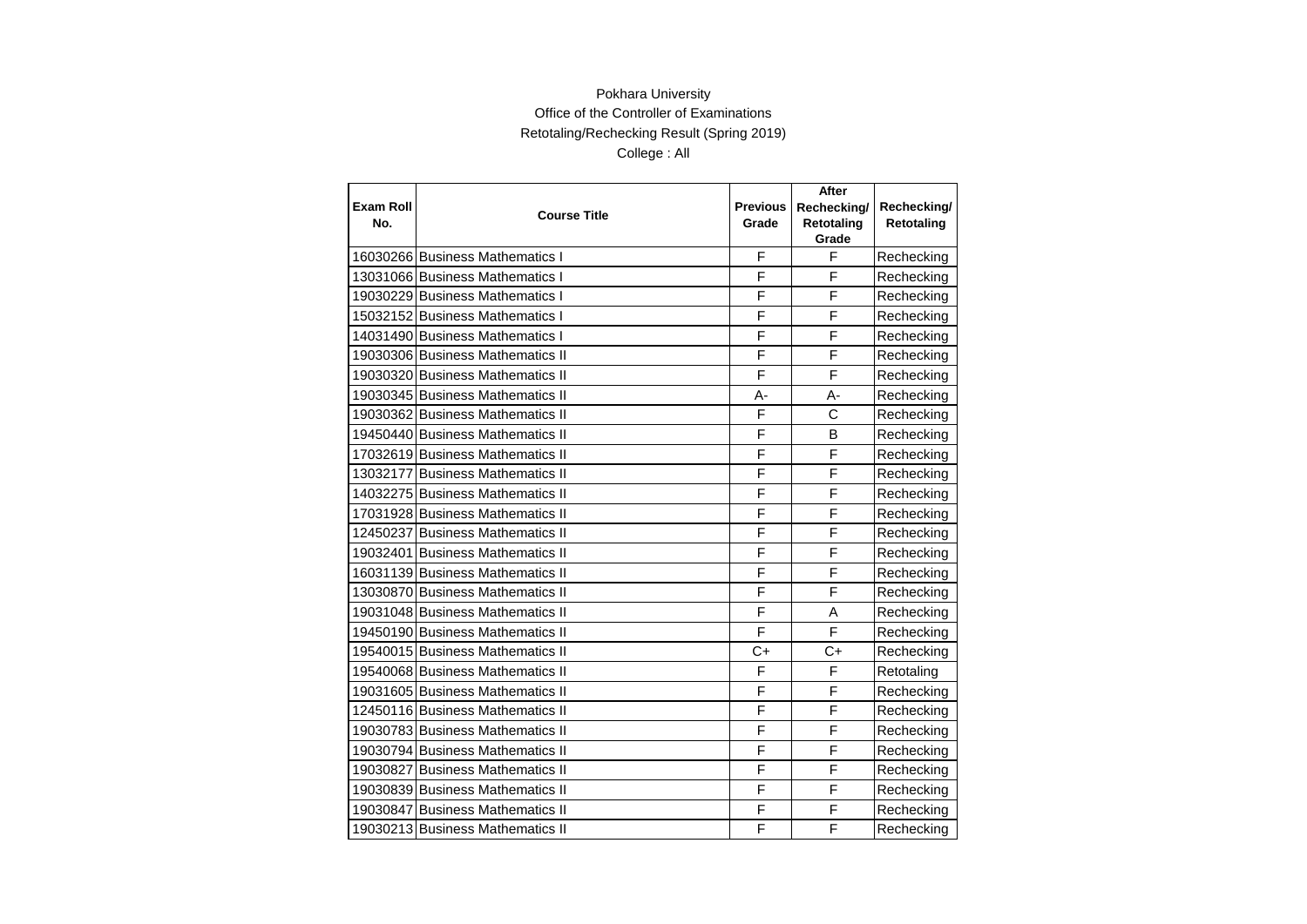|                  |                                  |                 | After       |             |
|------------------|----------------------------------|-----------------|-------------|-------------|
| <b>Exam Roll</b> | <b>Course Title</b>              | <b>Previous</b> | Rechecking/ | Rechecking/ |
| No.              |                                  | Grade           | Retotaling  | Retotaling  |
|                  |                                  |                 | Grade       |             |
|                  | 16030266 Business Mathematics I  | F               | F           | Rechecking  |
|                  | 13031066 Business Mathematics I  | F               | F           | Rechecking  |
|                  | 19030229 Business Mathematics I  | F               | F           | Rechecking  |
|                  | 15032152 Business Mathematics I  | F               | F           | Rechecking  |
|                  | 14031490 Business Mathematics I  | F               | F           | Rechecking  |
|                  | 19030306 Business Mathematics II | F               | F           | Rechecking  |
|                  | 19030320 Business Mathematics II | F               | F           | Rechecking  |
|                  | 19030345 Business Mathematics II | $A -$           | А-          | Rechecking  |
|                  | 19030362 Business Mathematics II | F               | C           | Rechecking  |
|                  | 19450440 Business Mathematics II | F               | B           | Rechecking  |
|                  | 17032619 Business Mathematics II | F               | F           | Rechecking  |
|                  | 13032177 Business Mathematics II | F               | F           | Rechecking  |
|                  | 14032275 Business Mathematics II | F               | F           | Rechecking  |
|                  | 17031928 Business Mathematics II | F               | F           | Rechecking  |
|                  | 12450237 Business Mathematics II | F               | F           | Rechecking  |
|                  | 19032401 Business Mathematics II | F               | F           | Rechecking  |
|                  | 16031139 Business Mathematics II | F               | F           | Rechecking  |
|                  | 13030870 Business Mathematics II | F               | F           | Rechecking  |
|                  | 19031048 Business Mathematics II | F               | A           | Rechecking  |
|                  | 19450190 Business Mathematics II | F               | F           | Rechecking  |
|                  | 19540015 Business Mathematics II | C+              | C+          | Rechecking  |
|                  | 19540068 Business Mathematics II | F               | F           | Retotaling  |
|                  | 19031605 Business Mathematics II | F               | F           | Rechecking  |
|                  | 12450116 Business Mathematics II | F               | F           | Rechecking  |
|                  | 19030783 Business Mathematics II | F               | F           | Rechecking  |
|                  | 19030794 Business Mathematics II | F               | F           | Rechecking  |
|                  | 19030827 Business Mathematics II | F               | F           | Rechecking  |
|                  | 19030839 Business Mathematics II | F               | F           | Rechecking  |
|                  | 19030847 Business Mathematics II | F               | F           | Rechecking  |
|                  | 19030213 Business Mathematics II | F               | F           | Rechecking  |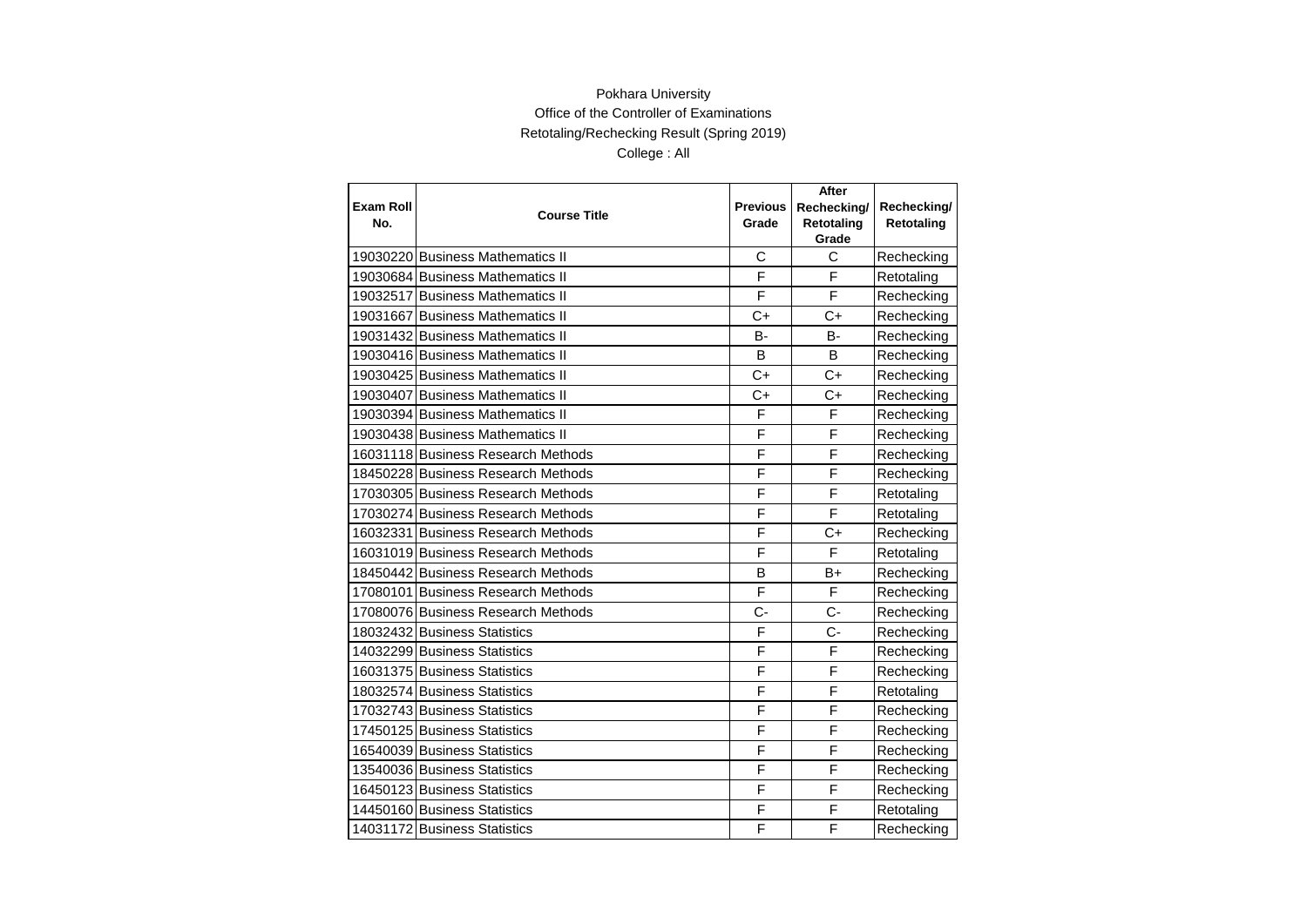| <b>Exam Roll</b> | <b>Course Title</b>                | <b>Previous</b> | After<br>Rechecking/ | Rechecking/ |
|------------------|------------------------------------|-----------------|----------------------|-------------|
| No.              |                                    | Grade           | Retotaling<br>Grade  | Retotaling  |
|                  | 19030220 Business Mathematics II   | С               | C                    | Rechecking  |
|                  | 19030684 Business Mathematics II   | F               | F                    | Retotaling  |
|                  | 19032517 Business Mathematics II   | F               | F                    | Rechecking  |
|                  | 19031667 Business Mathematics II   | $C+$            | $C+$                 | Rechecking  |
|                  | 19031432 Business Mathematics II   | В-              | B-                   | Rechecking  |
|                  | 19030416 Business Mathematics II   | B               | <sub>B</sub>         | Rechecking  |
|                  | 19030425 Business Mathematics II   | $C+$            | $C+$                 | Rechecking  |
|                  | 19030407 Business Mathematics II   | $C+$            | $C+$                 | Rechecking  |
|                  | 19030394 Business Mathematics II   | F               | F                    | Rechecking  |
|                  | 19030438 Business Mathematics II   | F               | F                    | Rechecking  |
|                  | 16031118 Business Research Methods | F               | F                    | Rechecking  |
|                  | 18450228 Business Research Methods | F               | F                    | Rechecking  |
|                  | 17030305 Business Research Methods | F               | F                    | Retotaling  |
|                  | 17030274 Business Research Methods | F               | F                    | Retotaling  |
|                  | 16032331 Business Research Methods | F               | $C+$                 | Rechecking  |
|                  | 16031019 Business Research Methods | F               | $\overline{F}$       | Retotaling  |
|                  | 18450442 Business Research Methods | B               | B+                   | Rechecking  |
|                  | 17080101 Business Research Methods | F               | F                    | Rechecking  |
|                  | 17080076 Business Research Methods | $C -$           | $C -$                | Rechecking  |
|                  | 18032432 Business Statistics       | F               | $C -$                | Rechecking  |
|                  | 14032299 Business Statistics       | F               | F                    | Rechecking  |
|                  | 16031375 Business Statistics       | F               | F                    | Rechecking  |
|                  | 18032574 Business Statistics       | F               | F                    | Retotaling  |
|                  | 17032743 Business Statistics       | F               | F                    | Rechecking  |
|                  | 17450125 Business Statistics       | F               | F                    | Rechecking  |
|                  | 16540039 Business Statistics       | F               | F                    | Rechecking  |
|                  | 13540036 Business Statistics       | F               | F                    | Rechecking  |
|                  | 16450123 Business Statistics       | F               | F                    | Rechecking  |
|                  | 14450160 Business Statistics       | F               | F                    | Retotaling  |
|                  | 14031172 Business Statistics       | F               | F                    | Rechecking  |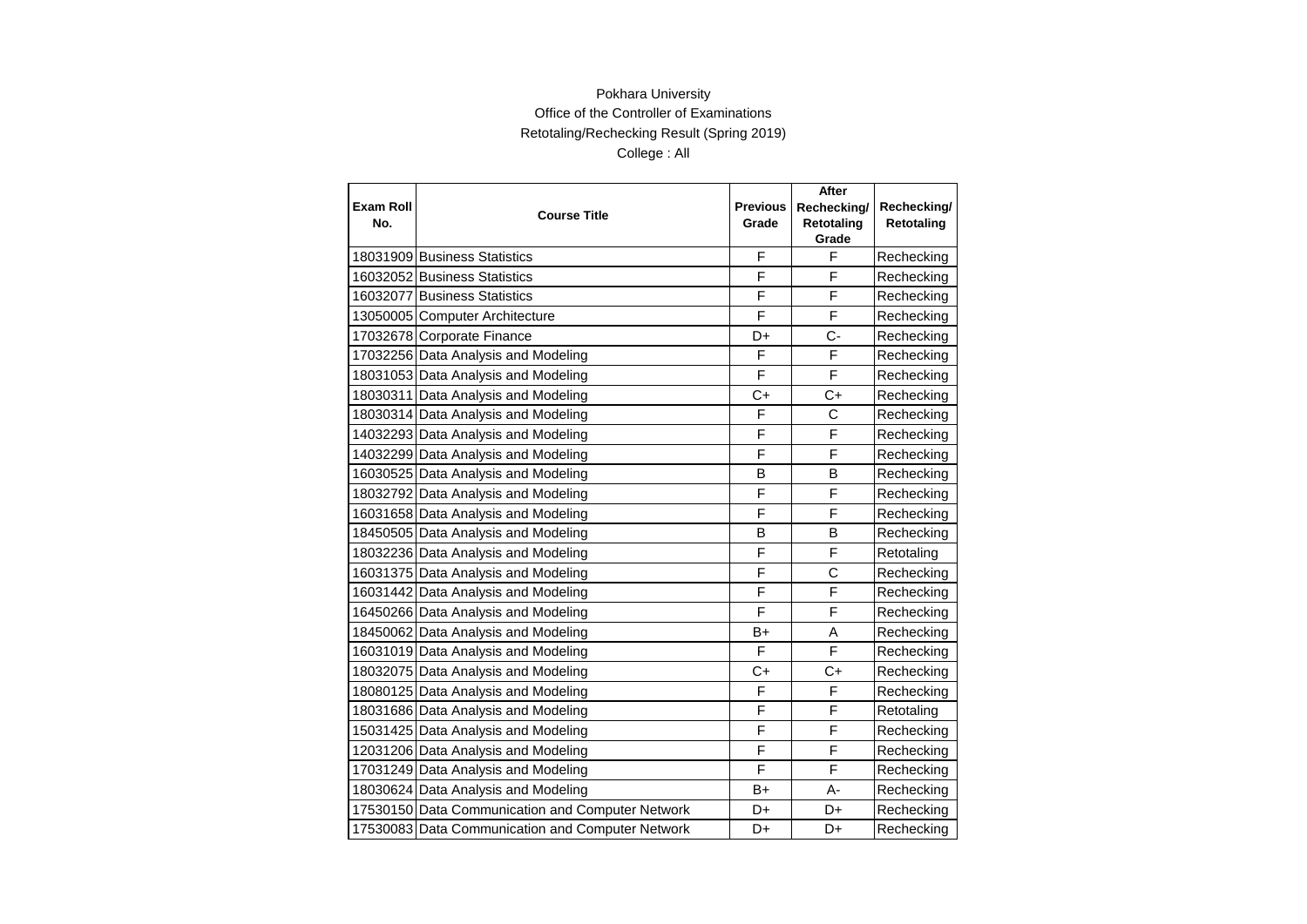|                  |                                                  | <b>Previous</b> | After<br>Rechecking/ |                           |
|------------------|--------------------------------------------------|-----------------|----------------------|---------------------------|
| Exam Roll<br>No. | <b>Course Title</b>                              | Grade           | <b>Retotaling</b>    | Rechecking/<br>Retotaling |
|                  |                                                  |                 | Grade                |                           |
|                  | 18031909 Business Statistics                     | F               | F                    | Rechecking                |
|                  | 16032052 Business Statistics                     | F               | F                    | Rechecking                |
|                  | 16032077 Business Statistics                     | F               | F                    | Rechecking                |
|                  | 13050005 Computer Architecture                   | F               | F                    | Rechecking                |
|                  | 17032678 Corporate Finance                       | D+              | $C -$                | Rechecking                |
|                  | 17032256 Data Analysis and Modeling              | F               | F                    | Rechecking                |
|                  | 18031053 Data Analysis and Modeling              | F               | F                    | Rechecking                |
|                  | 18030311 Data Analysis and Modeling              | $C+$            | $C+$                 | Rechecking                |
|                  | 18030314 Data Analysis and Modeling              | F               | C                    | Rechecking                |
|                  | 14032293 Data Analysis and Modeling              | F               | F                    | Rechecking                |
|                  | 14032299 Data Analysis and Modeling              | F               | F                    | Rechecking                |
|                  | 16030525 Data Analysis and Modeling              | B               | B                    | Rechecking                |
|                  | 18032792 Data Analysis and Modeling              | F               | F                    | Rechecking                |
|                  | 16031658 Data Analysis and Modeling              | F               | F                    | Rechecking                |
|                  | 18450505 Data Analysis and Modeling              | в               | B                    | Rechecking                |
|                  | 18032236 Data Analysis and Modeling              | F               | F                    | Retotaling                |
|                  | 16031375 Data Analysis and Modeling              | F               | C                    | Rechecking                |
|                  | 16031442 Data Analysis and Modeling              | F               | F                    | Rechecking                |
|                  | 16450266 Data Analysis and Modeling              | F               | F                    | Rechecking                |
|                  | 18450062 Data Analysis and Modeling              | B+              | A                    | Rechecking                |
|                  | 16031019 Data Analysis and Modeling              | F               | F                    | Rechecking                |
|                  | 18032075 Data Analysis and Modeling              | C+              | C+                   | Rechecking                |
|                  | 18080125 Data Analysis and Modeling              | F               | F                    | Rechecking                |
|                  | 18031686 Data Analysis and Modeling              | F               | F                    | Retotaling                |
|                  | 15031425 Data Analysis and Modeling              | F               | F                    | Rechecking                |
|                  | 12031206 Data Analysis and Modeling              | F               | F                    | Rechecking                |
|                  | 17031249 Data Analysis and Modeling              | F               | F                    | Rechecking                |
|                  | 18030624 Data Analysis and Modeling              | B+              | A-                   | Rechecking                |
|                  | 17530150 Data Communication and Computer Network | D+              | D+                   | Rechecking                |
|                  | 17530083 Data Communication and Computer Network | D+              | D+                   | Rechecking                |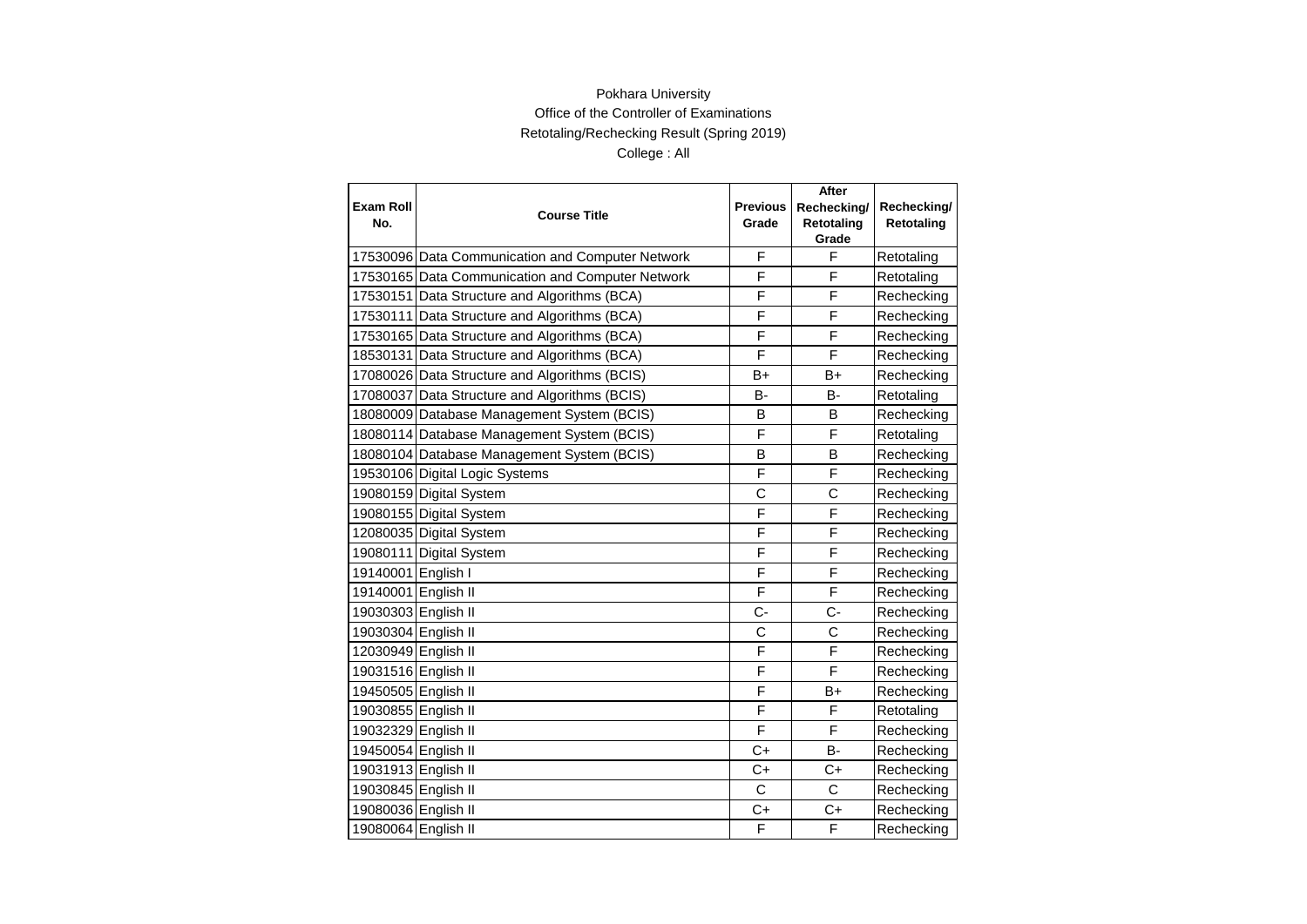|                     |                                                  |                 | After                      |             |
|---------------------|--------------------------------------------------|-----------------|----------------------------|-------------|
| <b>Exam Roll</b>    | <b>Course Title</b>                              | <b>Previous</b> | Rechecking/                | Rechecking/ |
| No.                 |                                                  | Grade           | <b>Retotaling</b><br>Grade | Retotaling  |
|                     | 17530096 Data Communication and Computer Network | F               | F                          | Retotaling  |
|                     | 17530165 Data Communication and Computer Network | F               | F                          | Retotaling  |
|                     | 17530151 Data Structure and Algorithms (BCA)     | F               | F                          | Rechecking  |
|                     | 17530111 Data Structure and Algorithms (BCA)     | F               | F                          | Rechecking  |
|                     | 17530165 Data Structure and Algorithms (BCA)     | F               | F                          | Rechecking  |
|                     | 18530131 Data Structure and Algorithms (BCA)     | F               | F                          | Rechecking  |
|                     | 17080026 Data Structure and Algorithms (BCIS)    | B+              | B+                         | Rechecking  |
|                     | 17080037 Data Structure and Algorithms (BCIS)    | <b>B-</b>       | <b>B-</b>                  | Retotaling  |
|                     | 18080009 Database Management System (BCIS)       | B               | B                          | Rechecking  |
|                     | 18080114 Database Management System (BCIS)       | F               | F                          | Retotaling  |
|                     | 18080104 Database Management System (BCIS)       | B               | B                          | Rechecking  |
|                     | 19530106 Digital Logic Systems                   | F               | F                          | Rechecking  |
|                     | 19080159 Digital System                          | C               | C                          | Rechecking  |
|                     | 19080155 Digital System                          | F               | F                          | Rechecking  |
|                     | 12080035 Digital System                          | F               | F                          | Rechecking  |
|                     | 19080111 Digital System                          | F               | F                          | Rechecking  |
| 19140001 English I  |                                                  | F               | F                          | Rechecking  |
| 19140001 English II |                                                  | F               | F                          | Rechecking  |
| 19030303 English II |                                                  | $C -$           | $C -$                      | Rechecking  |
| 19030304 English II |                                                  | C               | C                          | Rechecking  |
| 12030949 English II |                                                  | F               | F                          | Rechecking  |
| 19031516 English II |                                                  | F               | F                          | Rechecking  |
| 19450505 English II |                                                  | F               | B+                         | Rechecking  |
| 19030855 English II |                                                  | F               | F                          | Retotaling  |
| 19032329 English II |                                                  | F               | F                          | Rechecking  |
| 19450054 English II |                                                  | $C+$            | <b>B-</b>                  | Rechecking  |
| 19031913 English II |                                                  | $C+$            | $C+$                       | Rechecking  |
| 19030845 English II |                                                  | C               | C                          | Rechecking  |
| 19080036 English II |                                                  | C+              | C+                         | Rechecking  |
| 19080064 English II |                                                  | F               | F                          | Rechecking  |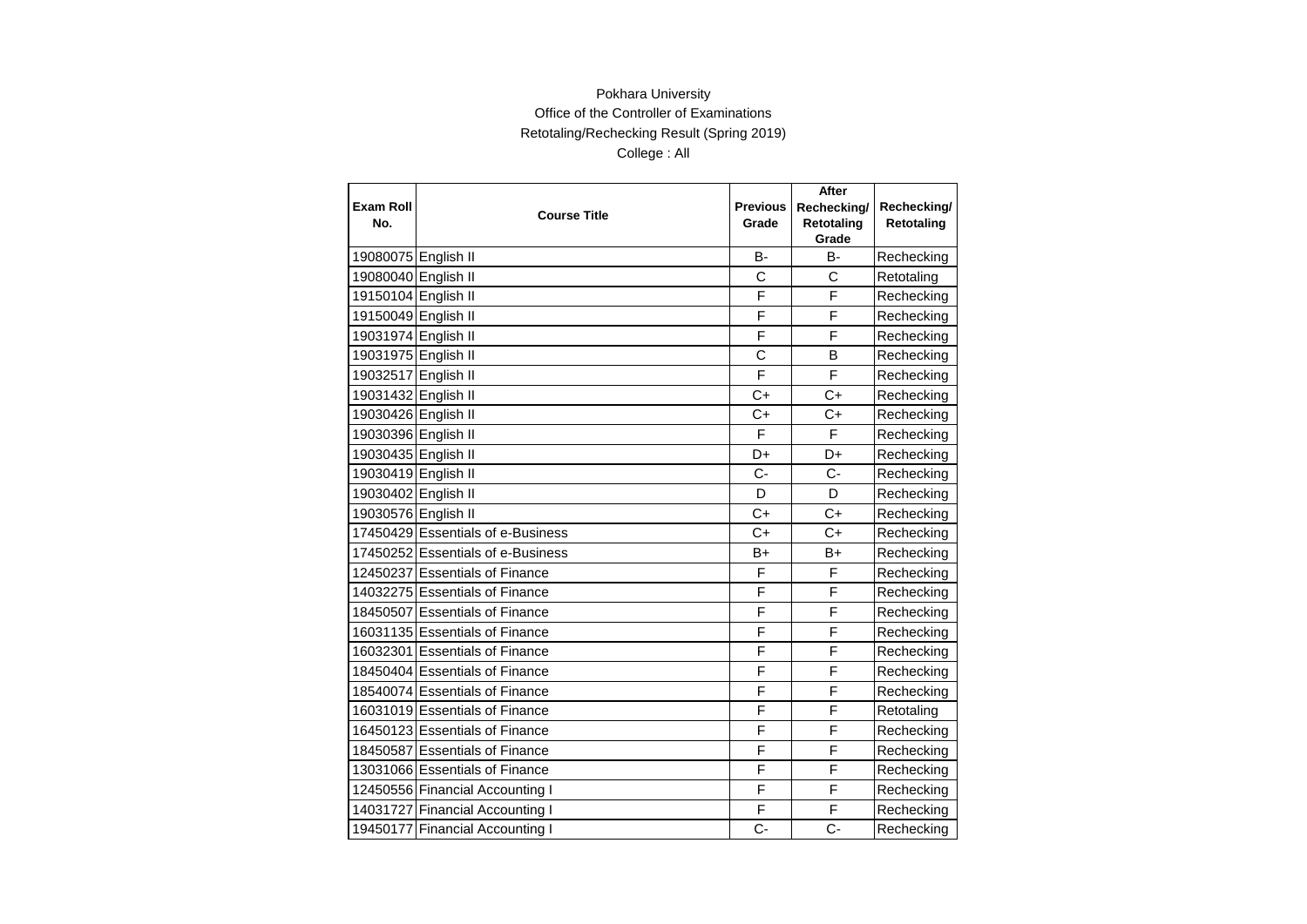|                         |                                   |                          | After                     |                           |
|-------------------------|-----------------------------------|--------------------------|---------------------------|---------------------------|
| <b>Exam Roll</b><br>No. | <b>Course Title</b>               | <b>Previous</b><br>Grade | Rechecking/<br>Retotaling | Rechecking/<br>Retotaling |
|                         |                                   |                          | Grade                     |                           |
| 19080075 English II     |                                   | в-                       | <b>B-</b>                 | Rechecking                |
| 19080040 English II     |                                   | C                        | C                         | Retotaling                |
| 19150104 English II     |                                   | F                        | F                         | Rechecking                |
| 19150049 English II     |                                   | F                        | F                         | Rechecking                |
| 19031974 English II     |                                   | F                        | F                         | Rechecking                |
| 19031975 English II     |                                   | C                        | B                         | Rechecking                |
| 19032517 English II     |                                   | F                        | F                         | Rechecking                |
| 19031432 English II     |                                   | $C+$                     | $C+$                      | Rechecking                |
| 19030426 English II     |                                   | $C+$                     | $C+$                      | Rechecking                |
| 19030396 English II     |                                   | F                        | F                         | Rechecking                |
| 19030435 English II     |                                   | D+                       | D+                        | Rechecking                |
| 19030419 English II     |                                   | $C -$                    | $C -$                     | Rechecking                |
| 19030402 English II     |                                   | D                        | D                         | Rechecking                |
| 19030576 English II     |                                   | $C+$                     | $C+$                      | Rechecking                |
|                         | 17450429 Essentials of e-Business | $C+$                     | $C+$                      | Rechecking                |
|                         | 17450252 Essentials of e-Business | $B+$                     | $B+$                      | Rechecking                |
|                         | 12450237 Essentials of Finance    | F                        | F                         | Rechecking                |
|                         | 14032275 Essentials of Finance    | F                        | F                         | Rechecking                |
|                         | 18450507 Essentials of Finance    | F                        | F                         | Rechecking                |
|                         | 16031135 Essentials of Finance    | F                        | F                         | Rechecking                |
|                         | 16032301 Essentials of Finance    | F                        | F                         | Rechecking                |
|                         | 18450404 Essentials of Finance    | F                        | F                         | Rechecking                |
|                         | 18540074 Essentials of Finance    | F                        | F                         | Rechecking                |
|                         | 16031019 Essentials of Finance    | F                        | F                         | Retotaling                |
|                         | 16450123 Essentials of Finance    | F                        | F                         | Rechecking                |
|                         | 18450587 Essentials of Finance    | F                        | F                         | Rechecking                |
|                         | 13031066 Essentials of Finance    | F                        | F                         | Rechecking                |
|                         | 12450556 Financial Accounting I   | F                        | F                         | Rechecking                |
|                         | 14031727 Financial Accounting I   | F                        | F                         | Rechecking                |
|                         | 19450177 Financial Accounting I   | C-                       | $C -$                     | Rechecking                |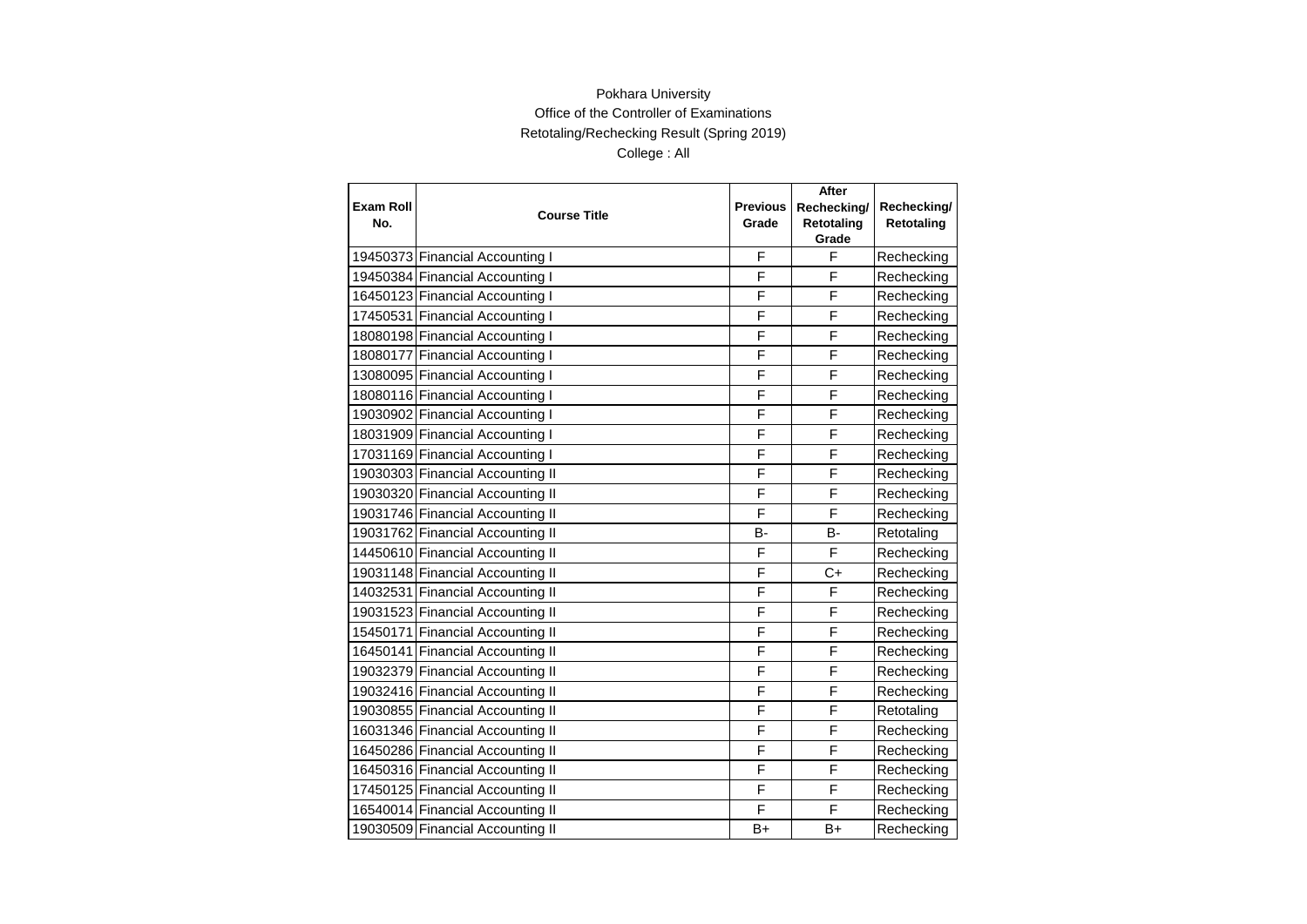|                  |                                  |                 | <b>After</b> |             |
|------------------|----------------------------------|-----------------|--------------|-------------|
| <b>Exam Roll</b> | <b>Course Title</b>              | <b>Previous</b> | Rechecking/  | Rechecking/ |
| No.              |                                  | Grade           | Retotaling   | Retotaling  |
|                  |                                  |                 | Grade        |             |
|                  | 19450373 Financial Accounting I  | F               | F            | Rechecking  |
|                  | 19450384 Financial Accounting I  | F               | F            | Rechecking  |
|                  | 16450123 Financial Accounting I  | F               | F            | Rechecking  |
|                  | 17450531 Financial Accounting I  | F               | F            | Rechecking  |
|                  | 18080198 Financial Accounting I  | F               | F            | Rechecking  |
|                  | 18080177 Financial Accounting I  | F               | F            | Rechecking  |
|                  | 13080095 Financial Accounting I  | F               | F            | Rechecking  |
|                  | 18080116 Financial Accounting I  | F               | F            | Rechecking  |
|                  | 19030902 Financial Accounting I  | F               | F            | Rechecking  |
|                  | 18031909 Financial Accounting I  | F               | F            | Rechecking  |
|                  | 17031169 Financial Accounting I  | F               | F            | Rechecking  |
|                  | 19030303 Financial Accounting II | F               | F            | Rechecking  |
|                  | 19030320 Financial Accounting II | F               | F            | Rechecking  |
|                  | 19031746 Financial Accounting II | F               | F            | Rechecking  |
|                  | 19031762 Financial Accounting II | в-              | B-           | Retotaling  |
|                  | 14450610 Financial Accounting II | F               | F            | Rechecking  |
|                  | 19031148 Financial Accounting II | F               | $C+$         | Rechecking  |
|                  | 14032531 Financial Accounting II | F               | F            | Rechecking  |
|                  | 19031523 Financial Accounting II | F               | F            | Rechecking  |
|                  | 15450171 Financial Accounting II | F               | F            | Rechecking  |
|                  | 16450141 Financial Accounting II | F               | F            | Rechecking  |
|                  | 19032379 Financial Accounting II | F               | F            | Rechecking  |
|                  | 19032416 Financial Accounting II | F               | F            | Rechecking  |
|                  | 19030855 Financial Accounting II | F               | F            | Retotaling  |
|                  | 16031346 Financial Accounting II | F               | F            | Rechecking  |
|                  | 16450286 Financial Accounting II | F               | F            | Rechecking  |
|                  | 16450316 Financial Accounting II | F               | F            | Rechecking  |
|                  | 17450125 Financial Accounting II | F               | F            | Rechecking  |
|                  | 16540014 Financial Accounting II | F               | F            | Rechecking  |
|                  | 19030509 Financial Accounting II | B+              | B+           | Rechecking  |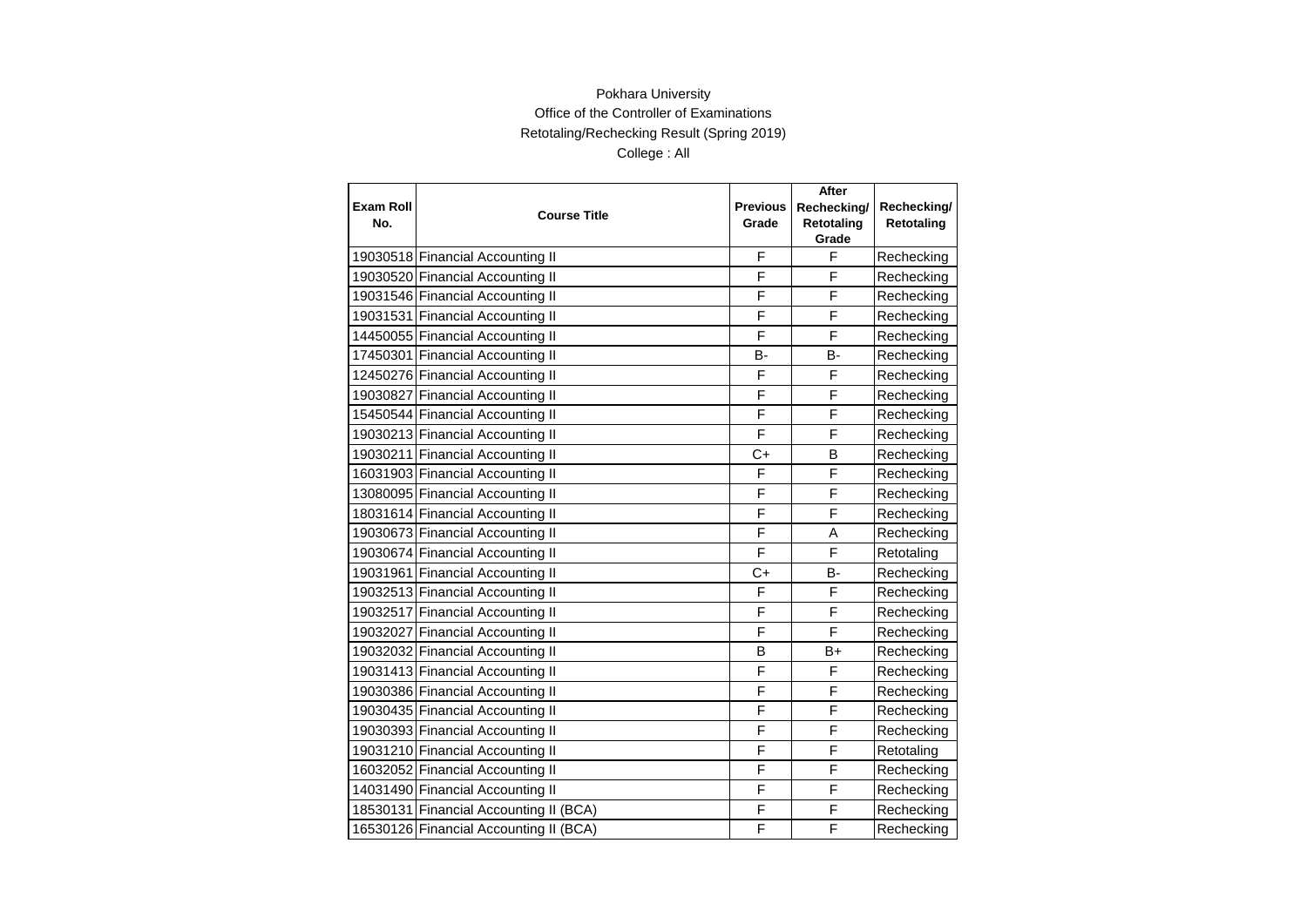|                  |                                        |                 | After          |             |
|------------------|----------------------------------------|-----------------|----------------|-------------|
| <b>Exam Roll</b> | <b>Course Title</b>                    | <b>Previous</b> | Rechecking/    | Rechecking/ |
| No.              |                                        | Grade           | Retotaling     | Retotaling  |
|                  |                                        |                 | Grade          |             |
|                  | 19030518 Financial Accounting II       | F               | F              | Rechecking  |
|                  | 19030520 Financial Accounting II       | F               | F              | Rechecking  |
|                  | 19031546 Financial Accounting II       | F               | F              | Rechecking  |
|                  | 19031531 Financial Accounting II       | F               | F              | Rechecking  |
|                  | 14450055 Financial Accounting II       | F               | F              | Rechecking  |
|                  | 17450301 Financial Accounting II       | B-              | <b>B-</b>      | Rechecking  |
|                  | 12450276 Financial Accounting II       | F               | F              | Rechecking  |
|                  | 19030827 Financial Accounting II       | F               | F              | Rechecking  |
|                  | 15450544 Financial Accounting II       | F               | F              | Rechecking  |
|                  | 19030213 Financial Accounting II       | F               | F              | Rechecking  |
|                  | 19030211 Financial Accounting II       | $C+$            | B              | Rechecking  |
|                  | 16031903 Financial Accounting II       | F               | F              | Rechecking  |
|                  | 13080095 Financial Accounting II       | F               | F              | Rechecking  |
|                  | 18031614 Financial Accounting II       | F               | F              | Rechecking  |
|                  | 19030673 Financial Accounting II       | F               | A              | Rechecking  |
|                  | 19030674 Financial Accounting II       | F               | $\overline{F}$ | Retotaling  |
|                  | 19031961 Financial Accounting II       | $C+$            | B-             | Rechecking  |
|                  | 19032513 Financial Accounting II       | F               | F              | Rechecking  |
|                  | 19032517 Financial Accounting II       | F               | F              | Rechecking  |
|                  | 19032027 Financial Accounting II       | F               | $\overline{F}$ | Rechecking  |
|                  | 19032032 Financial Accounting II       | B               | B+             | Rechecking  |
|                  | 19031413 Financial Accounting II       | F               | F              | Rechecking  |
|                  | 19030386 Financial Accounting II       | F               | F              | Rechecking  |
|                  | 19030435 Financial Accounting II       | F               | F              | Rechecking  |
|                  | 19030393 Financial Accounting II       | F               | F              | Rechecking  |
|                  | 19031210 Financial Accounting II       | F               | F              | Retotaling  |
|                  | 16032052 Financial Accounting II       | F               | F              | Rechecking  |
|                  | 14031490 Financial Accounting II       | F               | F              | Rechecking  |
|                  | 18530131 Financial Accounting II (BCA) | F               | F              | Rechecking  |
|                  | 16530126 Financial Accounting II (BCA) | F               | F              | Rechecking  |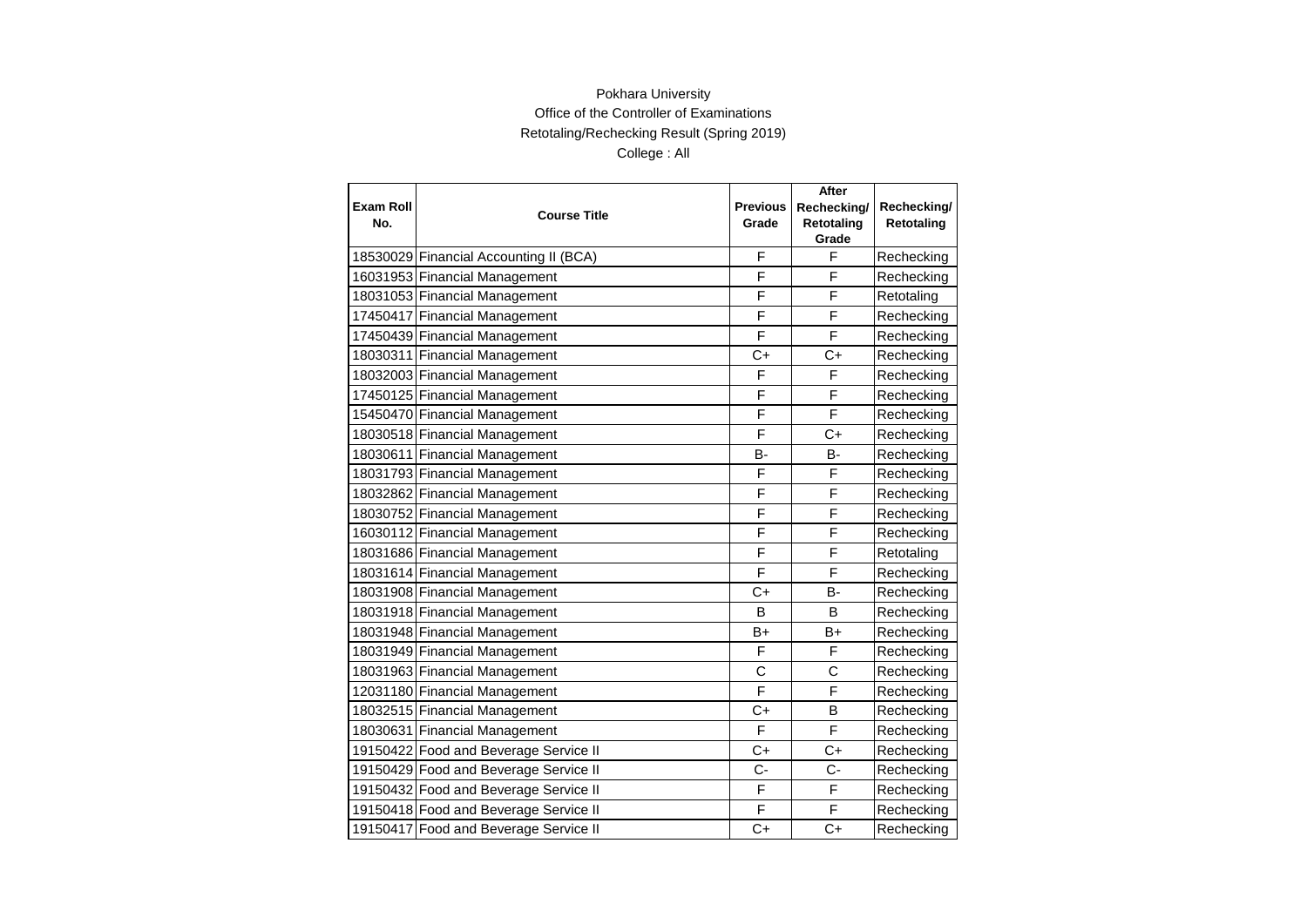|                  |                                        |                 | <b>After</b> |             |
|------------------|----------------------------------------|-----------------|--------------|-------------|
| <b>Exam Roll</b> | <b>Course Title</b>                    | <b>Previous</b> | Rechecking/  | Rechecking/ |
| No.              |                                        | Grade           | Retotaling   | Retotaling  |
|                  |                                        |                 | Grade<br>F   |             |
|                  | 18530029 Financial Accounting II (BCA) | F               |              | Rechecking  |
|                  | 16031953 Financial Management          | F               | F            | Rechecking  |
|                  | 18031053 Financial Management          | F               | F            | Retotaling  |
|                  | 17450417 Financial Management          | F               | F            | Rechecking  |
|                  | 17450439 Financial Management          | F               | F            | Rechecking  |
|                  | 18030311 Financial Management          | $C+$            | $C+$         | Rechecking  |
|                  | 18032003 Financial Management          | F               | F            | Rechecking  |
|                  | 17450125 Financial Management          | F               | F            | Rechecking  |
|                  | 15450470 Financial Management          | F               | F            | Rechecking  |
|                  | 18030518 Financial Management          | F               | $C+$         | Rechecking  |
|                  | 18030611 Financial Management          | B-              | <b>B-</b>    | Rechecking  |
|                  | 18031793 Financial Management          | F               | F            | Rechecking  |
|                  | 18032862 Financial Management          | F               | F            | Rechecking  |
|                  | 18030752 Financial Management          | F               | F            | Rechecking  |
|                  | 16030112 Financial Management          | F               | F            | Rechecking  |
|                  | 18031686 Financial Management          | F               | F            | Retotaling  |
|                  | 18031614 Financial Management          | F               | F            | Rechecking  |
|                  | 18031908 Financial Management          | C+              | <b>B-</b>    | Rechecking  |
|                  | 18031918 Financial Management          | в               | B            | Rechecking  |
|                  | 18031948 Financial Management          | B+              | B+           | Rechecking  |
|                  | 18031949 Financial Management          | F               | F            | Rechecking  |
|                  | 18031963 Financial Management          | C               | C            | Rechecking  |
|                  | 12031180 Financial Management          | F               | F            | Rechecking  |
|                  | 18032515 Financial Management          | $C+$            | B            | Rechecking  |
|                  | 18030631 Financial Management          | F               | F            | Rechecking  |
|                  | 19150422 Food and Beverage Service II  | $C+$            | $C+$         | Rechecking  |
|                  | 19150429 Food and Beverage Service II  | $C -$           | $C -$        | Rechecking  |
|                  | 19150432 Food and Beverage Service II  | F               | F            | Rechecking  |
|                  | 19150418 Food and Beverage Service II  | F               | F            | Rechecking  |
|                  | 19150417 Food and Beverage Service II  | $C+$            | $C+$         | Rechecking  |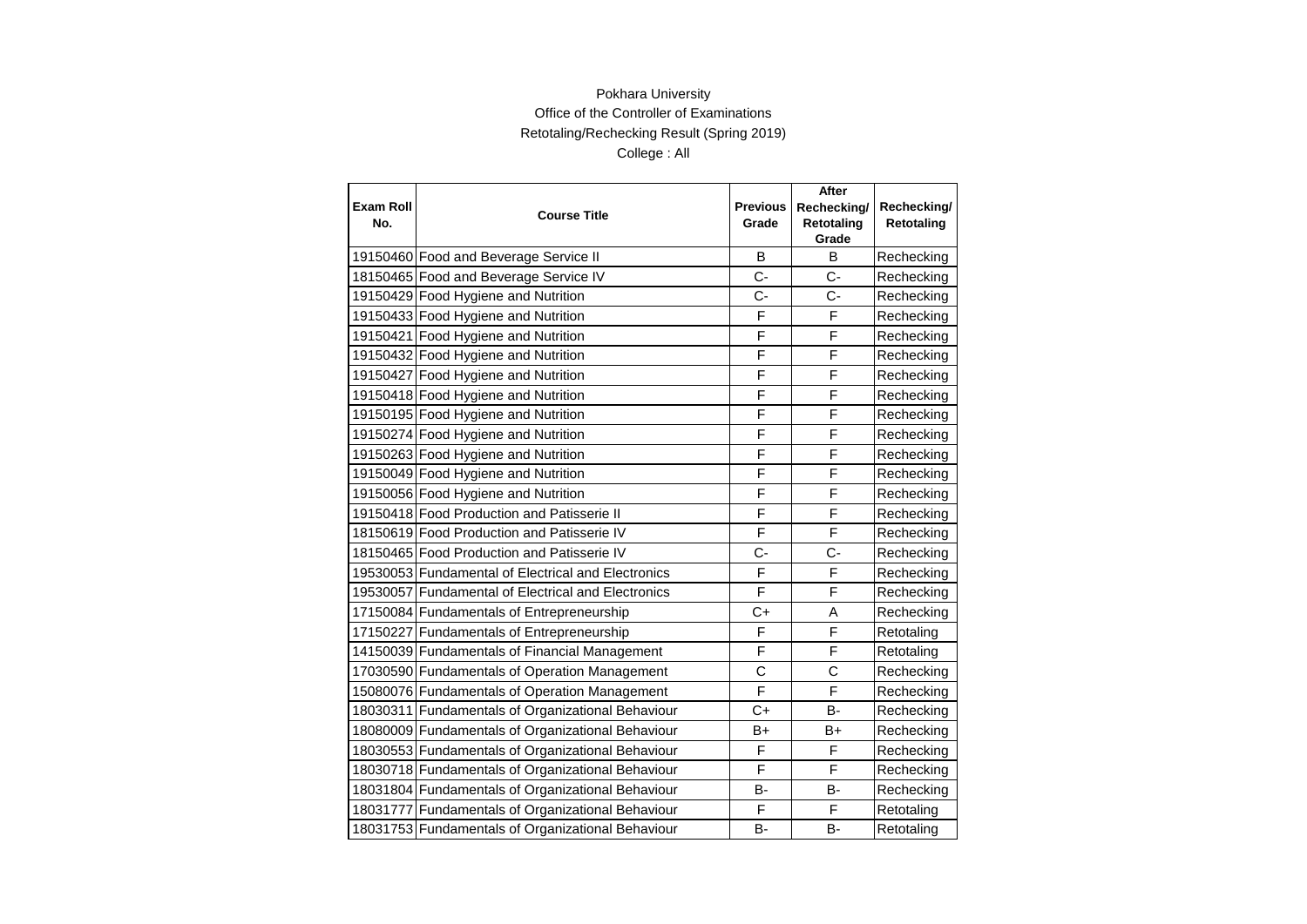| <b>Exam Roll</b><br>No. | <b>Course Title</b>                                | <b>Previous</b><br>Grade | After<br>Rechecking/<br>Retotaling<br>Grade | Rechecking/<br>Retotaling |
|-------------------------|----------------------------------------------------|--------------------------|---------------------------------------------|---------------------------|
|                         | 19150460 Food and Beverage Service II              | B                        | B                                           | Rechecking                |
|                         | 18150465 Food and Beverage Service IV              | $C -$                    | C-                                          | Rechecking                |
|                         | 19150429 Food Hygiene and Nutrition                | $C -$                    | C-                                          | Rechecking                |
|                         | 19150433 Food Hygiene and Nutrition                | F                        | F                                           | Rechecking                |
|                         | 19150421 Food Hygiene and Nutrition                | F                        | F                                           | Rechecking                |
|                         | 19150432 Food Hygiene and Nutrition                | F                        | F                                           | Rechecking                |
|                         | 19150427 Food Hygiene and Nutrition                | F                        | F                                           | Rechecking                |
|                         | 19150418 Food Hygiene and Nutrition                | F                        | $\overline{F}$                              | Rechecking                |
|                         | 19150195 Food Hygiene and Nutrition                | F                        | F                                           | Rechecking                |
|                         | 19150274 Food Hygiene and Nutrition                | F                        | F                                           | Rechecking                |
|                         | 19150263 Food Hygiene and Nutrition                | F                        | F                                           | Rechecking                |
|                         | 19150049 Food Hygiene and Nutrition                | F                        | F                                           | Rechecking                |
|                         | 19150056 Food Hygiene and Nutrition                | F                        | F                                           | Rechecking                |
|                         | 19150418 Food Production and Patisserie II         | F                        | F                                           | Rechecking                |
|                         | 18150619 Food Production and Patisserie IV         | F                        | F                                           | Rechecking                |
|                         | 18150465 Food Production and Patisserie IV         | $C -$                    | $C -$                                       | Rechecking                |
|                         | 19530053 Fundamental of Electrical and Electronics | F                        | F                                           | Rechecking                |
|                         | 19530057 Fundamental of Electrical and Electronics | F                        | F                                           | Rechecking                |
|                         | 17150084 Fundamentals of Entrepreneurship          | $C+$                     | A                                           | Rechecking                |
|                         | 17150227 Fundamentals of Entrepreneurship          | F                        | F                                           | Retotaling                |
|                         | 14150039 Fundamentals of Financial Management      | F                        | F                                           | Retotaling                |
|                         | 17030590 Fundamentals of Operation Management      | C                        | C                                           | Rechecking                |
|                         | 15080076 Fundamentals of Operation Management      | F                        | F                                           | Rechecking                |
|                         | 18030311 Fundamentals of Organizational Behaviour  | $C+$                     | B-                                          | Rechecking                |
|                         | 18080009 Fundamentals of Organizational Behaviour  | B+                       | B+                                          | Rechecking                |
|                         | 18030553 Fundamentals of Organizational Behaviour  | F                        | F                                           | Rechecking                |
|                         | 18030718 Fundamentals of Organizational Behaviour  | F                        | F                                           | Rechecking                |
|                         | 18031804 Fundamentals of Organizational Behaviour  | <b>B-</b>                | B-                                          | Rechecking                |
|                         | 18031777 Fundamentals of Organizational Behaviour  | F                        | F                                           | Retotaling                |
|                         | 18031753 Fundamentals of Organizational Behaviour  | B-                       | в-                                          | Retotaling                |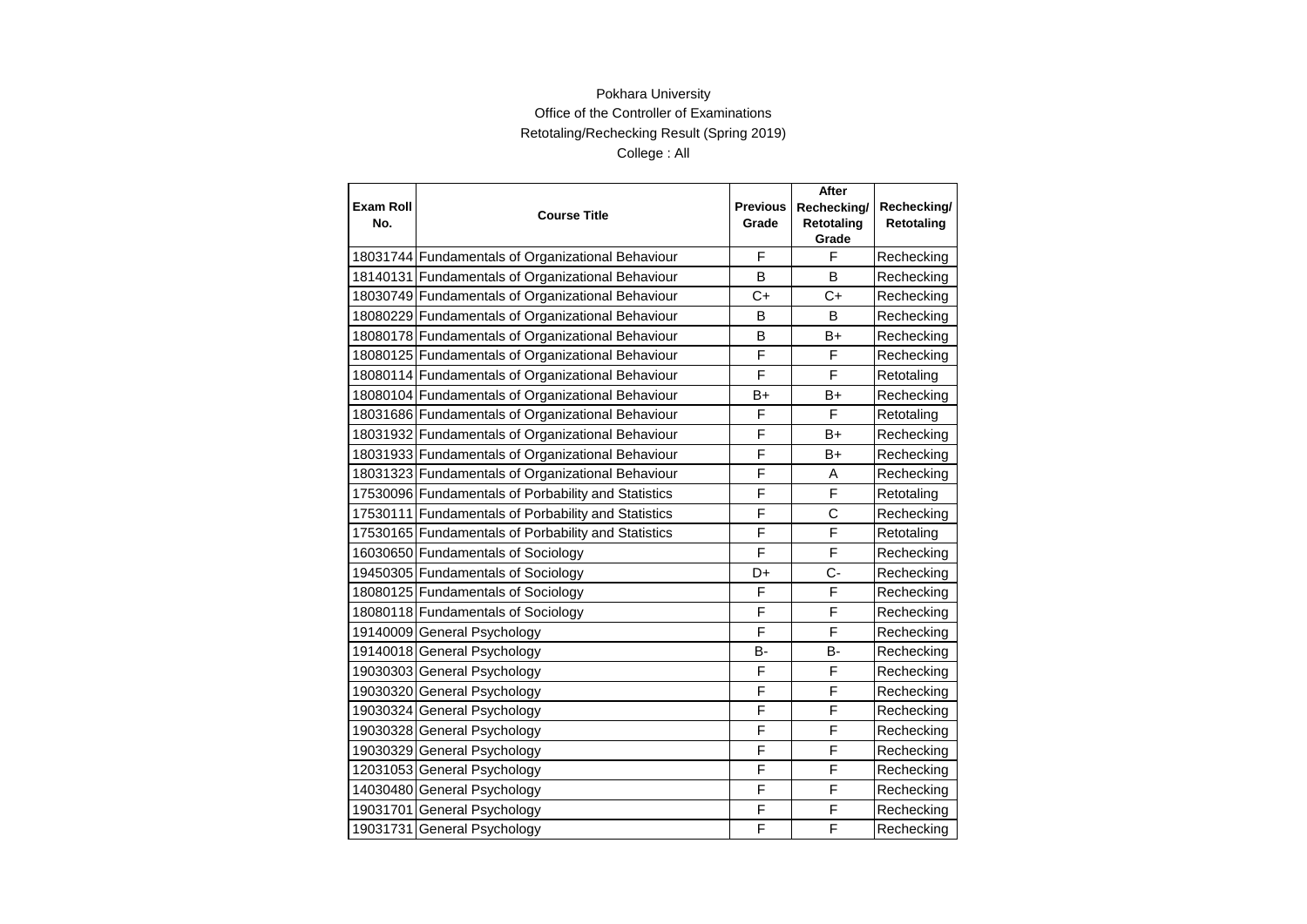| <b>Exam Roll</b> |                                                     | <b>Previous</b> | After                     |                           |
|------------------|-----------------------------------------------------|-----------------|---------------------------|---------------------------|
| No.              | <b>Course Title</b>                                 | Grade           | Rechecking/<br>Retotaling | Rechecking/<br>Retotaling |
|                  |                                                     |                 | Grade                     |                           |
|                  | 18031744 Fundamentals of Organizational Behaviour   | F               | F                         | Rechecking                |
|                  | 18140131 Fundamentals of Organizational Behaviour   | B               | B                         | Rechecking                |
|                  | 18030749 Fundamentals of Organizational Behaviour   | C+              | $C+$                      | Rechecking                |
|                  | 18080229 Fundamentals of Organizational Behaviour   | B               | B                         | Rechecking                |
|                  | 18080178 Fundamentals of Organizational Behaviour   | B               | B+                        | Rechecking                |
|                  | 18080125 Fundamentals of Organizational Behaviour   | F               | F                         | Rechecking                |
|                  | 18080114 Fundamentals of Organizational Behaviour   | F               | F                         | Retotaling                |
|                  | 18080104 Fundamentals of Organizational Behaviour   | B+              | $B+$                      | Rechecking                |
|                  | 18031686 Fundamentals of Organizational Behaviour   | F               | F                         | Retotaling                |
|                  | 18031932 Fundamentals of Organizational Behaviour   | F               | $B+$                      | Rechecking                |
|                  | 18031933 Fundamentals of Organizational Behaviour   | F               | B+                        | Rechecking                |
|                  | 18031323 Fundamentals of Organizational Behaviour   | F               | A                         | Rechecking                |
|                  | 17530096 Fundamentals of Porbability and Statistics | F               | F                         | Retotaling                |
|                  | 17530111 Fundamentals of Porbability and Statistics | F               | C                         | Rechecking                |
|                  | 17530165 Fundamentals of Porbability and Statistics | F               | F                         | Retotaling                |
|                  | 16030650 Fundamentals of Sociology                  | F               | F                         | Rechecking                |
|                  | 19450305 Fundamentals of Sociology                  | D+              | $C -$                     | Rechecking                |
|                  | 18080125 Fundamentals of Sociology                  | F               | F                         | Rechecking                |
|                  | 18080118 Fundamentals of Sociology                  | F               | F                         | Rechecking                |
|                  | 19140009 General Psychology                         | F               | F                         | Rechecking                |
|                  | 19140018 General Psychology                         | в-              | <b>B-</b>                 | Rechecking                |
|                  | 19030303 General Psychology                         | F               | F                         | Rechecking                |
|                  | 19030320 General Psychology                         | F               | F                         | Rechecking                |
|                  | 19030324 General Psychology                         | F               | F                         | Rechecking                |
|                  | 19030328 General Psychology                         | F               | F                         | Rechecking                |
|                  | 19030329 General Psychology                         | F               | F                         | Rechecking                |
|                  | 12031053 General Psychology                         | F               | F                         | Rechecking                |
|                  | 14030480 General Psychology                         | F               | F                         | Rechecking                |
|                  | 19031701 General Psychology                         | F               | F                         | Rechecking                |
|                  | 19031731 General Psychology                         | F               | F                         | Rechecking                |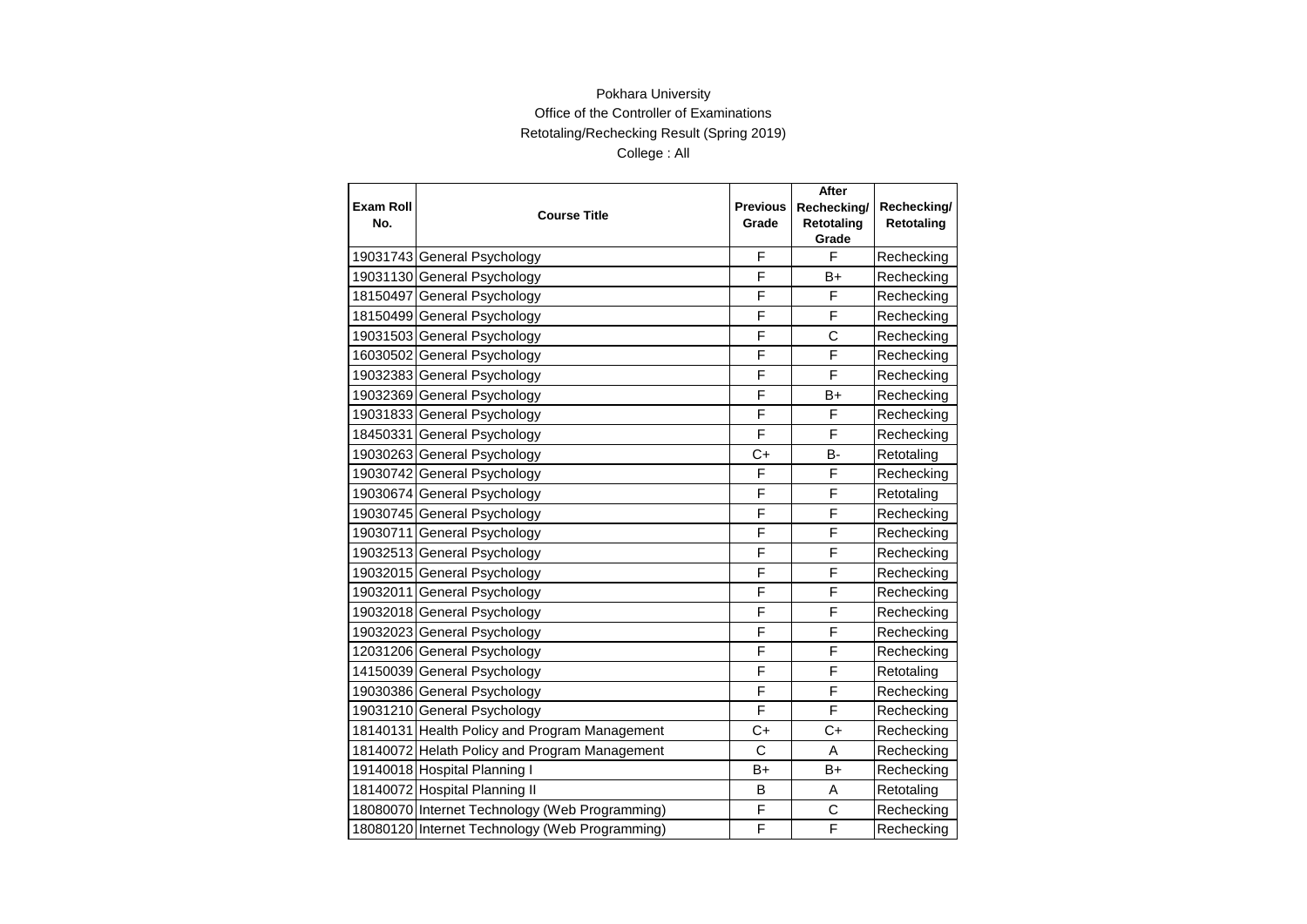|                  |                                                | <b>Previous</b><br>Grade | After       |             |
|------------------|------------------------------------------------|--------------------------|-------------|-------------|
| <b>Exam Roll</b> | <b>Course Title</b>                            |                          | Rechecking/ | Rechecking/ |
| No.              |                                                |                          | Retotaling  | Retotaling  |
|                  |                                                | F                        | Grade<br>F  |             |
|                  | 19031743 General Psychology                    |                          |             | Rechecking  |
|                  | 19031130 General Psychology                    | F                        | B+          | Rechecking  |
|                  | 18150497 General Psychology                    | F                        | F           | Rechecking  |
|                  | 18150499 General Psychology                    | F                        | F           | Rechecking  |
|                  | 19031503 General Psychology                    | F                        | C           | Rechecking  |
|                  | 16030502 General Psychology                    | F                        | F           | Rechecking  |
|                  | 19032383 General Psychology                    | F                        | F           | Rechecking  |
|                  | 19032369 General Psychology                    | F                        | $B+$        | Rechecking  |
|                  | 19031833 General Psychology                    | F                        | F           | Rechecking  |
|                  | 18450331 General Psychology                    | F                        | F           | Rechecking  |
|                  | 19030263 General Psychology                    | $C+$                     | B-          | Retotaling  |
|                  | 19030742 General Psychology                    | F                        | F           | Rechecking  |
|                  | 19030674 General Psychology                    | F                        | F           | Retotaling  |
|                  | 19030745 General Psychology                    | F                        | F           | Rechecking  |
|                  | 19030711 General Psychology                    | F                        | F           | Rechecking  |
|                  | 19032513 General Psychology                    | F                        | F           | Rechecking  |
|                  | 19032015 General Psychology                    | F                        | F           | Rechecking  |
|                  | 19032011 General Psychology                    | F                        | F           | Rechecking  |
|                  | 19032018 General Psychology                    | F                        | F           | Rechecking  |
|                  | 19032023 General Psychology                    | F                        | F           | Rechecking  |
|                  | 12031206 General Psychology                    | F                        | F           | Rechecking  |
|                  | 14150039 General Psychology                    | F                        | F           | Retotaling  |
|                  | 19030386 General Psychology                    | F                        | F           | Rechecking  |
|                  | 19031210 General Psychology                    | F                        | F           | Rechecking  |
|                  | 18140131 Health Policy and Program Management  | C+                       | C+          | Rechecking  |
|                  | 18140072 Helath Policy and Program Management  | C                        | A           | Rechecking  |
|                  | 19140018 Hospital Planning I                   | B+                       | $B+$        | Rechecking  |
|                  | 18140072 Hospital Planning II                  | B                        | A           | Retotaling  |
|                  | 18080070 Internet Technology (Web Programming) | F                        | C           | Rechecking  |
|                  | 18080120 Internet Technology (Web Programming) | F                        | F           | Rechecking  |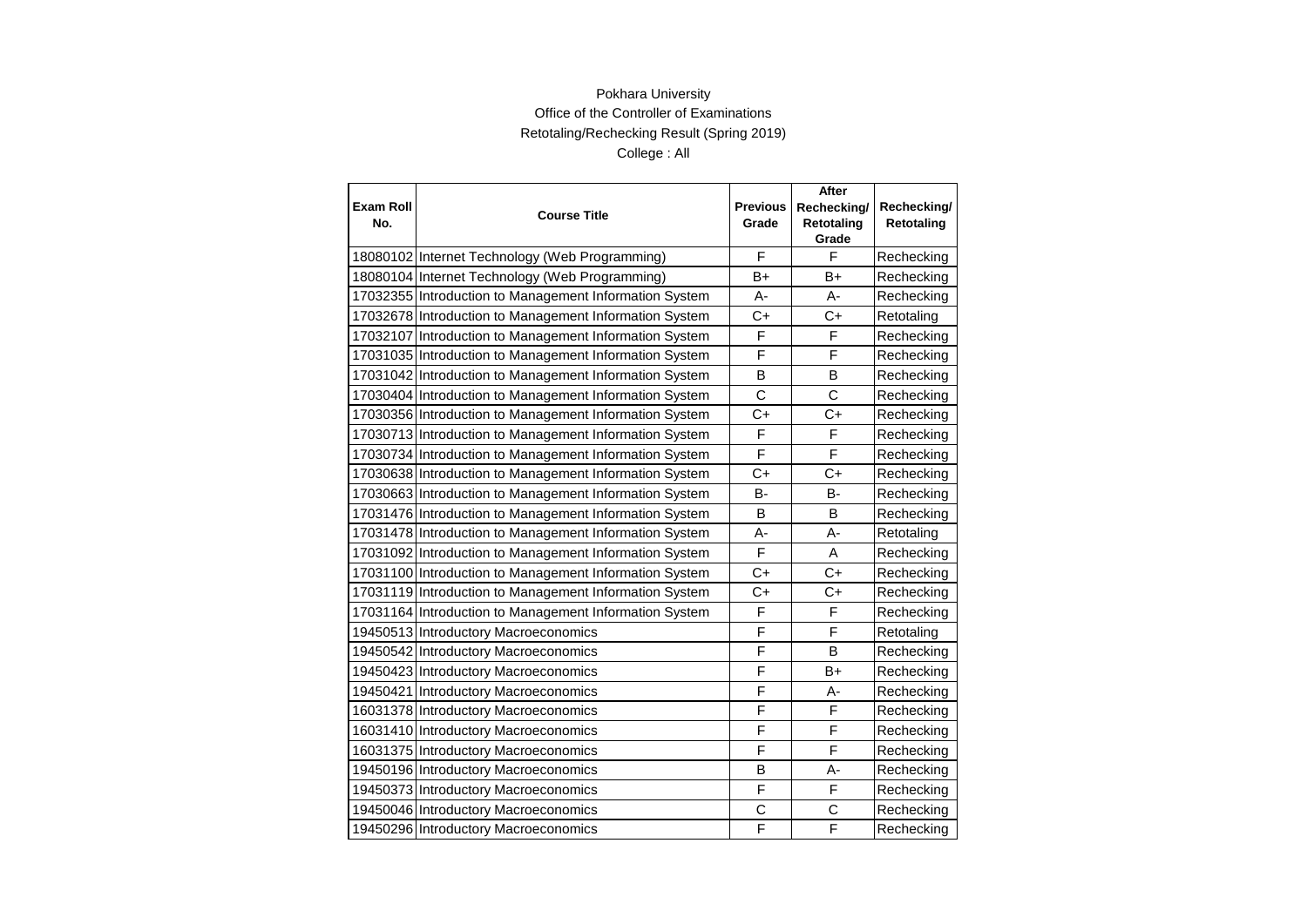|                         |                                                        | <b>Previous</b> | After                     |                           |
|-------------------------|--------------------------------------------------------|-----------------|---------------------------|---------------------------|
| <b>Exam Roll</b><br>No. | <b>Course Title</b>                                    | Grade           | Rechecking/<br>Retotaling | Rechecking/<br>Retotaling |
|                         |                                                        |                 | Grade                     |                           |
|                         | 18080102 Internet Technology (Web Programming)         | F               | F                         | Rechecking                |
|                         | 18080104 Internet Technology (Web Programming)         | B+              | B+                        | Rechecking                |
|                         | 17032355 Introduction to Management Information System | A-              | A-                        | Rechecking                |
|                         | 17032678 Introduction to Management Information System | $C+$            | $C+$                      | Retotaling                |
|                         | 17032107 Introduction to Management Information System | F               | F                         | Rechecking                |
|                         | 17031035 Introduction to Management Information System | F               | F                         | Rechecking                |
|                         | 17031042 Introduction to Management Information System | B               | B                         | Rechecking                |
|                         | 17030404 Introduction to Management Information System | $\mathsf{C}$    | C                         | Rechecking                |
|                         | 17030356 Introduction to Management Information System | $C+$            | $C+$                      | Rechecking                |
|                         | 17030713 Introduction to Management Information System | F               | F                         | Rechecking                |
|                         | 17030734 Introduction to Management Information System | F               | F                         | Rechecking                |
|                         | 17030638 Introduction to Management Information System | $C+$            | $C+$                      | Rechecking                |
|                         | 17030663 Introduction to Management Information System | <b>B-</b>       | <b>B-</b>                 | Rechecking                |
|                         | 17031476 Introduction to Management Information System | B               | B                         | Rechecking                |
|                         | 17031478 Introduction to Management Information System | А-              | A-                        | Retotaling                |
|                         | 17031092 Introduction to Management Information System | F               | A                         | Rechecking                |
|                         | 17031100 Introduction to Management Information System | $C+$            | $C+$                      | Rechecking                |
|                         | 17031119 Introduction to Management Information System | $C+$            | $C+$                      | Rechecking                |
|                         | 17031164 Introduction to Management Information System | F               | F                         | Rechecking                |
|                         | 19450513 Introductory Macroeconomics                   | F               | F                         | Retotaling                |
|                         | 19450542 Introductory Macroeconomics                   | F               | B                         | Rechecking                |
|                         | 19450423 Introductory Macroeconomics                   | F               | $B+$                      | Rechecking                |
|                         | 19450421 Introductory Macroeconomics                   | F               | A-                        | Rechecking                |
|                         | 16031378 Introductory Macroeconomics                   | F               | F                         | Rechecking                |
|                         | 16031410 Introductory Macroeconomics                   | F               | F                         | Rechecking                |
|                         | 16031375 Introductory Macroeconomics                   | F               | F                         | Rechecking                |
|                         | 19450196 Introductory Macroeconomics                   | B               | A-                        | Rechecking                |
|                         | 19450373 Introductory Macroeconomics                   | F               | F                         | Rechecking                |
|                         | 19450046 Introductory Macroeconomics                   | C               | C                         | Rechecking                |
|                         | 19450296 Introductory Macroeconomics                   | F               | F                         | Rechecking                |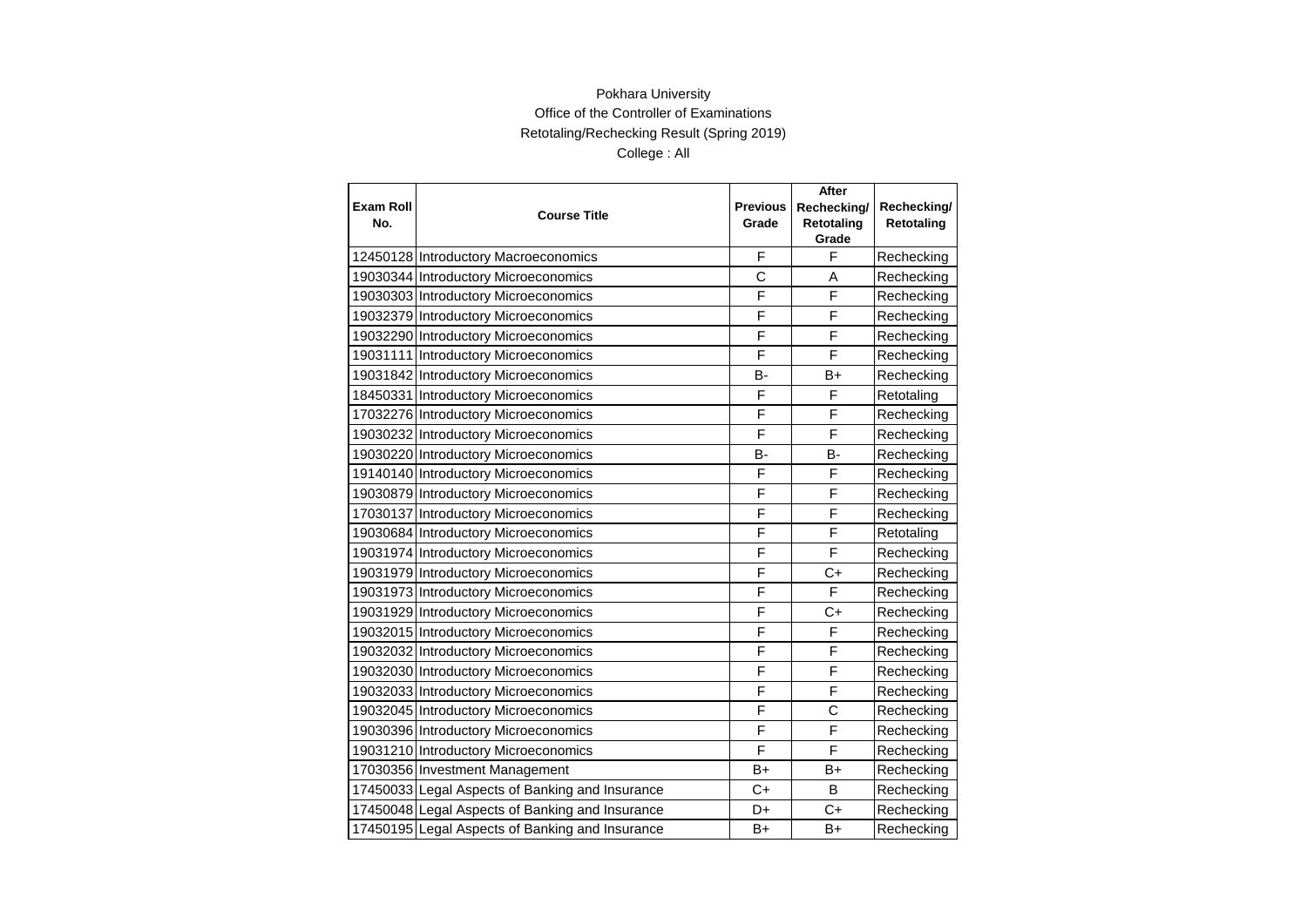| <b>Exam Roll</b> |                                                 | <b>Previous</b> | After                     |                           |
|------------------|-------------------------------------------------|-----------------|---------------------------|---------------------------|
| No.              | <b>Course Title</b>                             | Grade           | Rechecking/<br>Retotaling | Rechecking/<br>Retotaling |
|                  |                                                 |                 | Grade                     |                           |
|                  | 12450128 Introductory Macroeconomics            | F               | F                         | Rechecking                |
|                  | 19030344 Introductory Microeconomics            | C               | A                         | Rechecking                |
|                  | 19030303 Introductory Microeconomics            | F               | F                         | Rechecking                |
|                  | 19032379 Introductory Microeconomics            | F               | F                         | Rechecking                |
|                  | 19032290 Introductory Microeconomics            | F               | F                         | Rechecking                |
|                  | 19031111 Introductory Microeconomics            | F               | F                         | Rechecking                |
|                  | 19031842 Introductory Microeconomics            | <b>B-</b>       | $B+$                      | Rechecking                |
|                  | 18450331 Introductory Microeconomics            | F               | F                         | Retotaling                |
|                  | 17032276 Introductory Microeconomics            | F               | F                         | Rechecking                |
|                  | 19030232 Introductory Microeconomics            | F               | F                         | Rechecking                |
|                  | 19030220 Introductory Microeconomics            | B-              | B-                        | Rechecking                |
|                  | 19140140 Introductory Microeconomics            | F               | F                         | Rechecking                |
|                  | 19030879 Introductory Microeconomics            | F               | F                         | Rechecking                |
|                  | 17030137 Introductory Microeconomics            | F               | F                         | Rechecking                |
|                  | 19030684 Introductory Microeconomics            | F               | F                         | Retotaling                |
|                  | 19031974 Introductory Microeconomics            | F               | F                         | Rechecking                |
|                  | 19031979 Introductory Microeconomics            | F               | C+                        | Rechecking                |
|                  | 19031973 Introductory Microeconomics            | F               | F                         | Rechecking                |
|                  | 19031929 Introductory Microeconomics            | F               | $C+$                      | Rechecking                |
|                  | 19032015 Introductory Microeconomics            | F               | F                         | Rechecking                |
|                  | 19032032 Introductory Microeconomics            | F               | F                         | Rechecking                |
|                  | 19032030 Introductory Microeconomics            | F               | F                         | Rechecking                |
|                  | 19032033 Introductory Microeconomics            | F               | F                         | Rechecking                |
|                  | 19032045 Introductory Microeconomics            | F               | C                         | Rechecking                |
|                  | 19030396 Introductory Microeconomics            | F               | F                         | Rechecking                |
|                  | 19031210 Introductory Microeconomics            | F               | F                         | Rechecking                |
|                  | 17030356 Investment Management                  | $B+$            | B+                        | Rechecking                |
|                  | 17450033 Legal Aspects of Banking and Insurance | $C+$            | B                         | Rechecking                |
|                  | 17450048 Legal Aspects of Banking and Insurance | D+              | $C+$                      | Rechecking                |
|                  | 17450195 Legal Aspects of Banking and Insurance | B+              | B+                        | Rechecking                |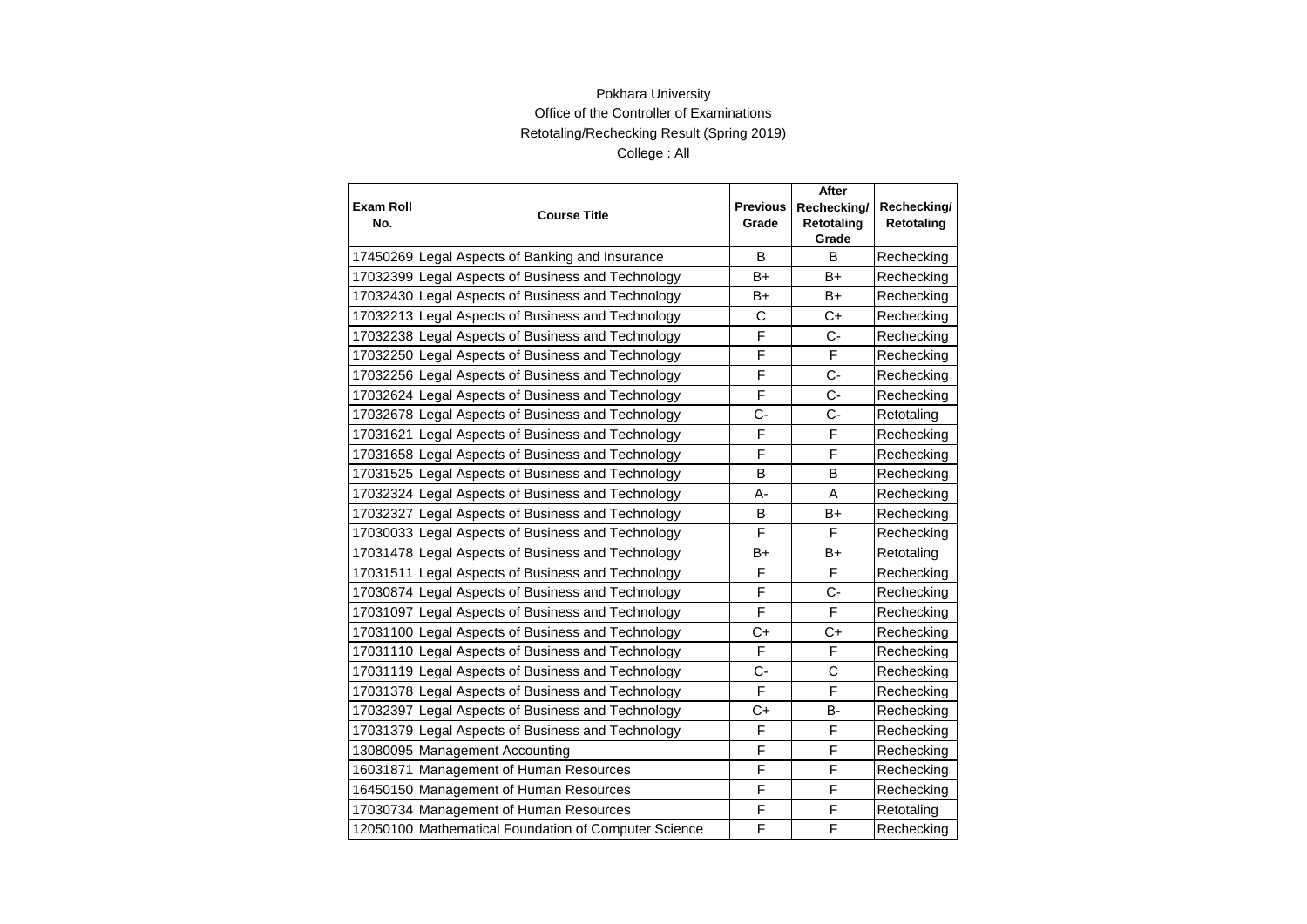| <b>Exam Roll</b> |                                                      | <b>Previous</b> | After<br>Rechecking/ |                           |
|------------------|------------------------------------------------------|-----------------|----------------------|---------------------------|
| No.              | <b>Course Title</b>                                  | Grade           | Retotaling           | Rechecking/<br>Retotaling |
|                  |                                                      |                 | Grade                |                           |
|                  | 17450269 Legal Aspects of Banking and Insurance      | В               | В                    | Rechecking                |
|                  | 17032399 Legal Aspects of Business and Technology    | B+              | B+                   | Rechecking                |
|                  | 17032430 Legal Aspects of Business and Technology    | B+              | B+                   | Rechecking                |
|                  | 17032213 Legal Aspects of Business and Technology    | $\mathsf{C}$    | $C+$                 | Rechecking                |
|                  | 17032238 Legal Aspects of Business and Technology    | F               | $C-$                 | Rechecking                |
|                  | 17032250 Legal Aspects of Business and Technology    | F               | F                    | Rechecking                |
|                  | 17032256 Legal Aspects of Business and Technology    | F               | $C -$                | Rechecking                |
|                  | 17032624 Legal Aspects of Business and Technology    | F               | $\overline{C}$       | Rechecking                |
|                  | 17032678 Legal Aspects of Business and Technology    | C-              | $C -$                | Retotaling                |
|                  | 17031621 Legal Aspects of Business and Technology    | F               | F                    | Rechecking                |
|                  | 17031658 Legal Aspects of Business and Technology    | F               | F                    | Rechecking                |
|                  | 17031525 Legal Aspects of Business and Technology    | B               | B                    | Rechecking                |
|                  | 17032324 Legal Aspects of Business and Technology    | А-              | A                    | Rechecking                |
|                  | 17032327 Legal Aspects of Business and Technology    | B               | $B+$                 | Rechecking                |
|                  | 17030033 Legal Aspects of Business and Technology    | F               | F                    | Rechecking                |
|                  | 17031478 Legal Aspects of Business and Technology    | B+              | B+                   | Retotaling                |
|                  | 17031511 Legal Aspects of Business and Technology    | F               | F                    | Rechecking                |
|                  | 17030874 Legal Aspects of Business and Technology    | F               | $C -$                | Rechecking                |
|                  | 17031097 Legal Aspects of Business and Technology    | F               | F                    | Rechecking                |
|                  | 17031100 Legal Aspects of Business and Technology    | $C+$            | C+                   | Rechecking                |
|                  | 17031110 Legal Aspects of Business and Technology    | F               | F                    | Rechecking                |
|                  | 17031119 Legal Aspects of Business and Technology    | C-              | C                    | Rechecking                |
|                  | 17031378 Legal Aspects of Business and Technology    | F               | F                    | Rechecking                |
|                  | 17032397 Legal Aspects of Business and Technology    | C+              | <b>B-</b>            | Rechecking                |
|                  | 17031379 Legal Aspects of Business and Technology    | F               | F                    | Rechecking                |
|                  | 13080095 Management Accounting                       | F               | F                    | Rechecking                |
|                  | 16031871 Management of Human Resources               | F               | F                    | Rechecking                |
|                  | 16450150 Management of Human Resources               | F               | F                    | Rechecking                |
|                  | 17030734 Management of Human Resources               | F               | F                    | Retotaling                |
|                  | 12050100 Mathematical Foundation of Computer Science | F               | F                    | Rechecking                |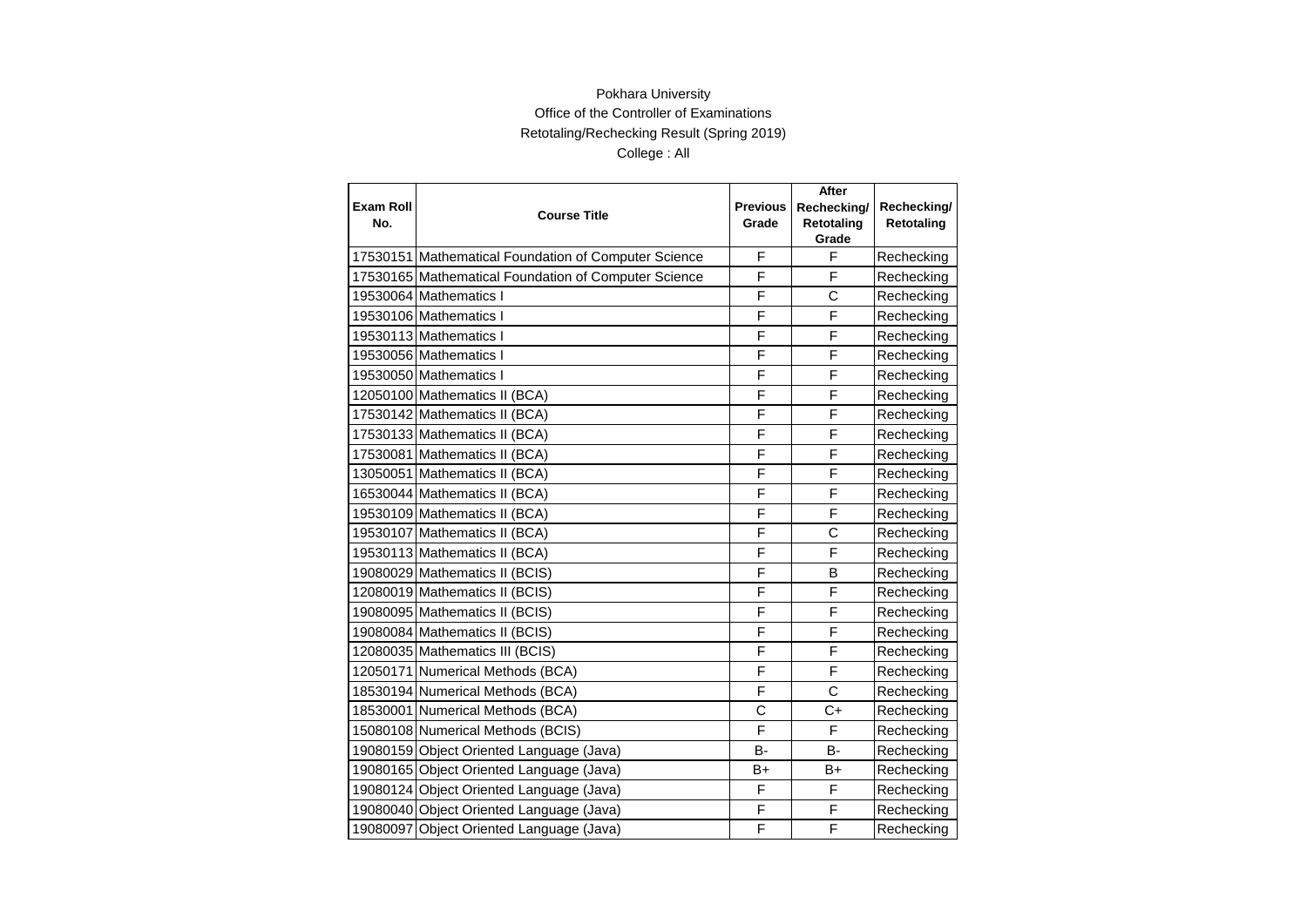|                  |                                                      |                 | After        |             |
|------------------|------------------------------------------------------|-----------------|--------------|-------------|
| <b>Exam Roll</b> | <b>Course Title</b>                                  | <b>Previous</b> | Rechecking/  | Rechecking/ |
| No.              |                                                      | Grade           | Retotaling   | Retotaling  |
|                  |                                                      |                 | Grade        |             |
|                  | 17530151 Mathematical Foundation of Computer Science | F               | F            | Rechecking  |
|                  | 17530165 Mathematical Foundation of Computer Science | F               | F            | Rechecking  |
|                  | 19530064 Mathematics I                               | F               | C            | Rechecking  |
|                  | 19530106 Mathematics I                               | F               | F            | Rechecking  |
|                  | 19530113 Mathematics I                               | F               | F            | Rechecking  |
|                  | 19530056 Mathematics I                               | F               | F            | Rechecking  |
|                  | 19530050 Mathematics I                               | F               | F            | Rechecking  |
|                  | 12050100 Mathematics II (BCA)                        | F               | F            | Rechecking  |
|                  | 17530142 Mathematics II (BCA)                        | F               | F            | Rechecking  |
|                  | 17530133 Mathematics II (BCA)                        | F               | F            | Rechecking  |
|                  | 17530081 Mathematics II (BCA)                        | F               | F            | Rechecking  |
|                  | 13050051 Mathematics II (BCA)                        | F               | F            | Rechecking  |
|                  | 16530044 Mathematics II (BCA)                        | F               | F            | Rechecking  |
|                  | 19530109 Mathematics II (BCA)                        | F               | F            | Rechecking  |
|                  | 19530107 Mathematics II (BCA)                        | F               | Ċ            | Rechecking  |
|                  | 19530113 Mathematics II (BCA)                        | F               | F            | Rechecking  |
|                  | 19080029 Mathematics II (BCIS)                       | F               | B            | Rechecking  |
|                  | 12080019 Mathematics II (BCIS)                       | F               | F            | Rechecking  |
|                  | 19080095 Mathematics II (BCIS)                       | F               | F            | Rechecking  |
|                  | 19080084 Mathematics II (BCIS)                       | F               | F            | Rechecking  |
|                  | 12080035 Mathematics III (BCIS)                      | F               | F            | Rechecking  |
|                  | 12050171 Numerical Methods (BCA)                     | F               | F            | Rechecking  |
|                  | 18530194 Numerical Methods (BCA)                     | F               | $\mathsf{C}$ | Rechecking  |
|                  | 18530001 Numerical Methods (BCA)                     | C               | $C+$         | Rechecking  |
|                  | 15080108 Numerical Methods (BCIS)                    | F               | F            | Rechecking  |
|                  | 19080159 Object Oriented Language (Java)             | <b>B-</b>       | B-           | Rechecking  |
|                  | 19080165 Object Oriented Language (Java)             | B+              | B+           | Rechecking  |
|                  | 19080124 Object Oriented Language (Java)             | F               | F            | Rechecking  |
|                  | 19080040 Object Oriented Language (Java)             | F               | F            | Rechecking  |
|                  | 19080097 Object Oriented Language (Java)             | F               | F            | Rechecking  |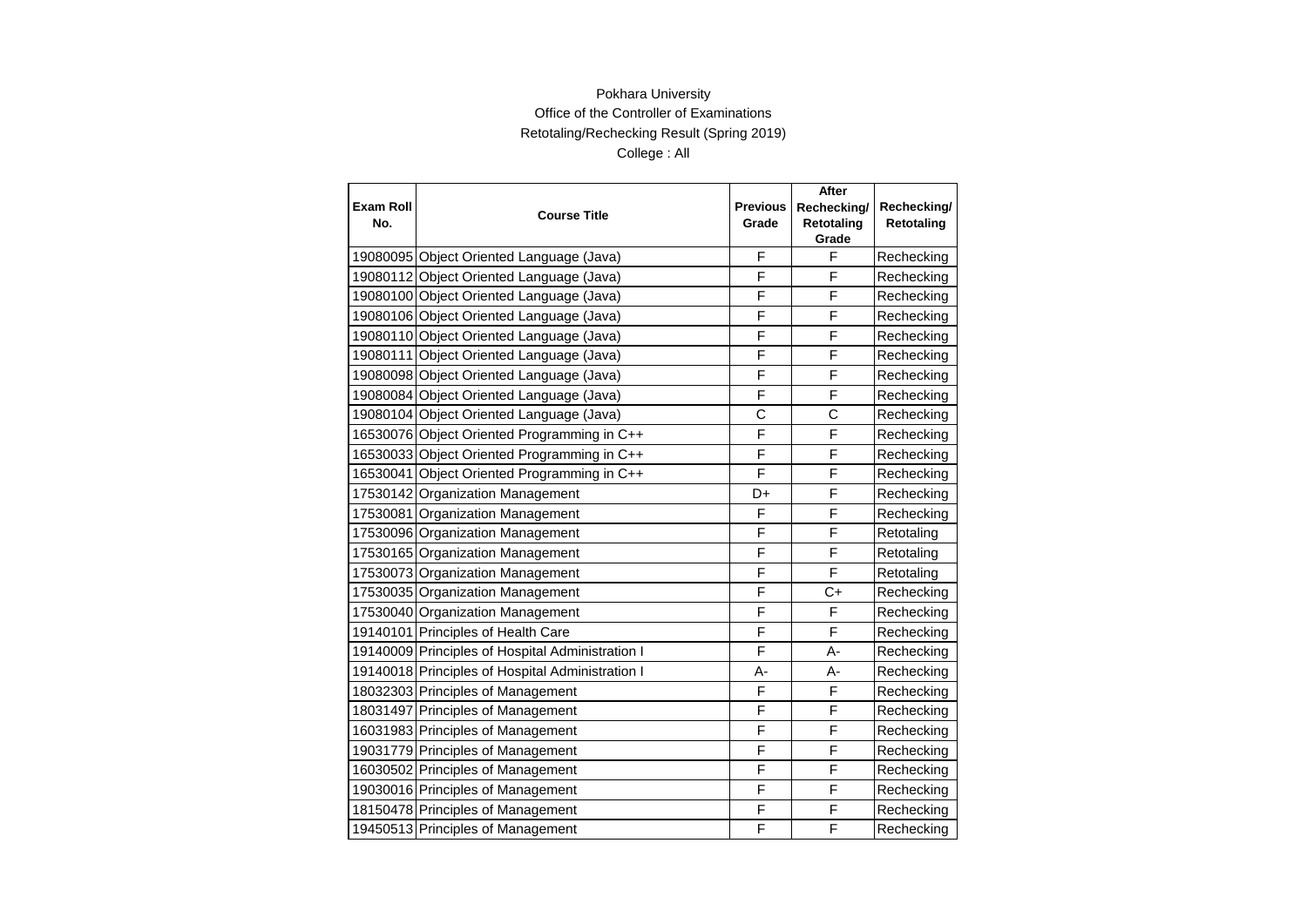|                  |                                                  |                 | After             |             |
|------------------|--------------------------------------------------|-----------------|-------------------|-------------|
| <b>Exam Roll</b> | <b>Course Title</b>                              | <b>Previous</b> | Rechecking/       | Rechecking/ |
| No.              |                                                  | Grade           | <b>Retotaling</b> | Retotaling  |
|                  |                                                  |                 | Grade             |             |
|                  | 19080095 Object Oriented Language (Java)         | F               | F                 | Rechecking  |
|                  | 19080112 Object Oriented Language (Java)         | F               | F                 | Rechecking  |
|                  | 19080100 Object Oriented Language (Java)         | F               | F                 | Rechecking  |
|                  | 19080106 Object Oriented Language (Java)         | F               | F                 | Rechecking  |
|                  | 19080110 Object Oriented Language (Java)         | F               | F                 | Rechecking  |
|                  | 19080111 Object Oriented Language (Java)         | F               | F                 | Rechecking  |
|                  | 19080098 Object Oriented Language (Java)         | F               | F                 | Rechecking  |
|                  | 19080084 Object Oriented Language (Java)         | F               | F                 | Rechecking  |
|                  | 19080104 Object Oriented Language (Java)         | C               | Ć                 | Rechecking  |
|                  | 16530076 Object Oriented Programming in C++      | F               | F                 | Rechecking  |
|                  | 16530033 Object Oriented Programming in C++      | F               | F                 | Rechecking  |
|                  | 16530041 Object Oriented Programming in C++      | F               | F                 | Rechecking  |
|                  | 17530142 Organization Management                 | D+              | F                 | Rechecking  |
|                  | 17530081 Organization Management                 | F               | F                 | Rechecking  |
|                  | 17530096 Organization Management                 | F               | F                 | Retotaling  |
|                  | 17530165 Organization Management                 | F               | F                 | Retotaling  |
|                  | 17530073 Organization Management                 | F               | F                 | Retotaling  |
|                  | 17530035 Organization Management                 | F               | C+                | Rechecking  |
|                  | 17530040 Organization Management                 | F               | F                 | Rechecking  |
|                  | 19140101 Principles of Health Care               | F               | F                 | Rechecking  |
|                  | 19140009 Principles of Hospital Administration I | F               | A-                | Rechecking  |
|                  | 19140018 Principles of Hospital Administration I | A-              | A-                | Rechecking  |
|                  | 18032303 Principles of Management                | F               | F                 | Rechecking  |
|                  | 18031497 Principles of Management                | F               | F                 | Rechecking  |
|                  | 16031983 Principles of Management                | F               | F                 | Rechecking  |
|                  | 19031779 Principles of Management                | F               | F                 | Rechecking  |
|                  | 16030502 Principles of Management                | F               | F                 | Rechecking  |
|                  | 19030016 Principles of Management                | F               | F                 | Rechecking  |
|                  | 18150478 Principles of Management                | F               | F                 | Rechecking  |
|                  | 19450513 Principles of Management                | F               | F                 | Rechecking  |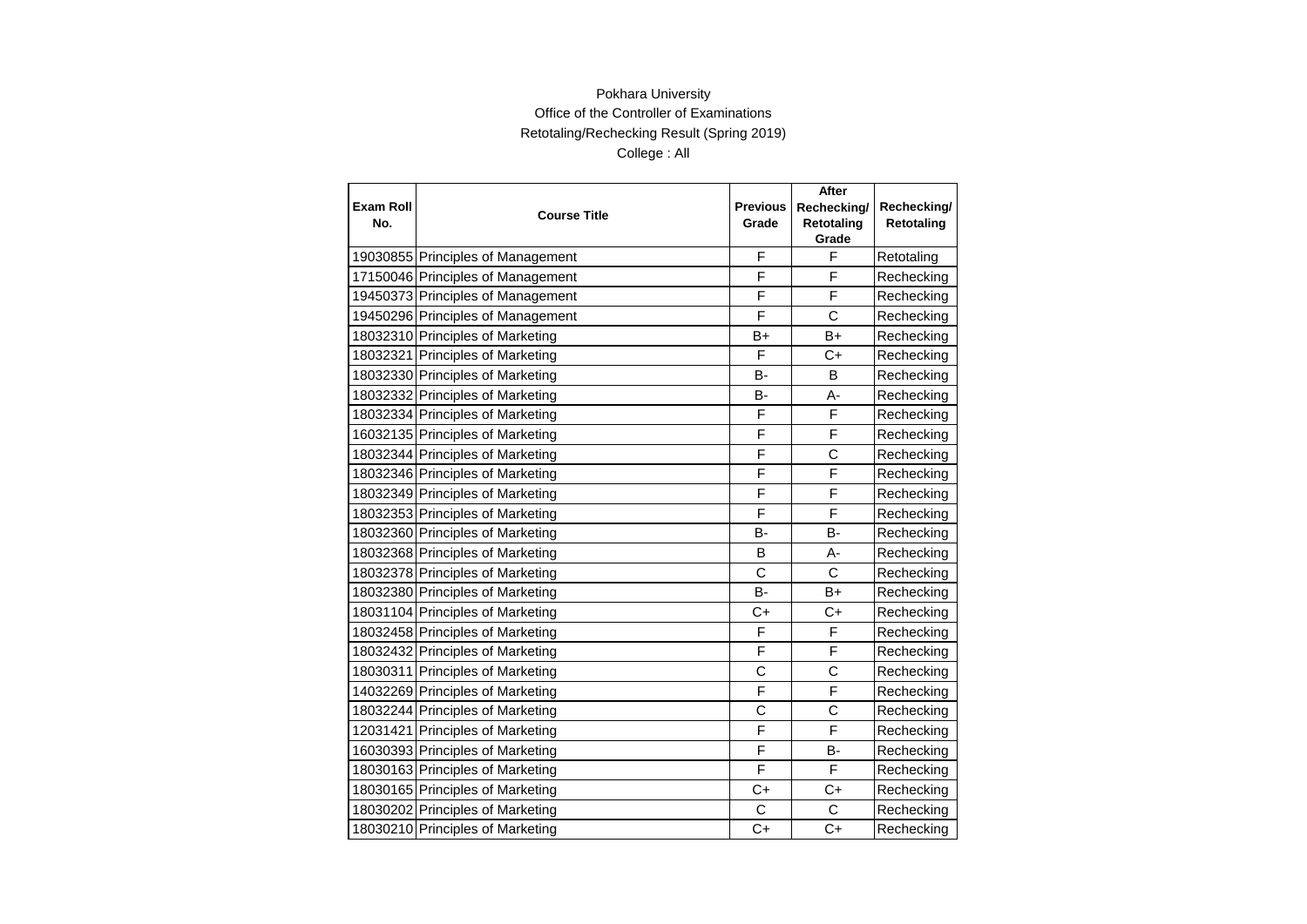|                  |                                   |                 | After               |             |
|------------------|-----------------------------------|-----------------|---------------------|-------------|
| <b>Exam Roll</b> | <b>Course Title</b>               | <b>Previous</b> | Rechecking/         | Rechecking/ |
| No.              |                                   | Grade           | Retotaling<br>Grade | Retotaling  |
|                  | 19030855 Principles of Management | F               | F                   | Retotaling  |
|                  | 17150046 Principles of Management | F               | F                   | Rechecking  |
|                  | 19450373 Principles of Management | F               | F                   | Rechecking  |
|                  | 19450296 Principles of Management | F               | $\mathsf{C}$        | Rechecking  |
|                  | 18032310 Principles of Marketing  | B+              | $B+$                | Rechecking  |
|                  | 18032321 Principles of Marketing  | F               | $C+$                | Rechecking  |
|                  | 18032330 Principles of Marketing  | B-              | B                   | Rechecking  |
|                  | 18032332 Principles of Marketing  | В-              | A-                  | Rechecking  |
|                  | 18032334 Principles of Marketing  | F               | F                   | Rechecking  |
|                  | 16032135 Principles of Marketing  | F               | F                   | Rechecking  |
|                  | 18032344 Principles of Marketing  | F               | C                   | Rechecking  |
|                  | 18032346 Principles of Marketing  | F               | F                   | Rechecking  |
|                  | 18032349 Principles of Marketing  | F               | F                   | Rechecking  |
|                  | 18032353 Principles of Marketing  | F               | F                   | Rechecking  |
|                  | 18032360 Principles of Marketing  | в-              | B-                  | Rechecking  |
|                  | 18032368 Principles of Marketing  | B               | A-                  | Rechecking  |
|                  | 18032378 Principles of Marketing  | C               | C                   | Rechecking  |
|                  | 18032380 Principles of Marketing  | <b>B-</b>       | $B+$                | Rechecking  |
|                  | 18031104 Principles of Marketing  | $C+$            | $C+$                | Rechecking  |
|                  | 18032458 Principles of Marketing  | F               | F                   | Rechecking  |
|                  | 18032432 Principles of Marketing  | F               | F                   | Rechecking  |
|                  | 18030311 Principles of Marketing  | C               | C                   | Rechecking  |
|                  | 14032269 Principles of Marketing  | F               | F                   | Rechecking  |
|                  | 18032244 Principles of Marketing  | С               | $\mathsf{C}$        | Rechecking  |
|                  | 12031421 Principles of Marketing  | F               | F                   | Rechecking  |
|                  | 16030393 Principles of Marketing  | F               | B-                  | Rechecking  |
|                  | 18030163 Principles of Marketing  | F               | F                   | Rechecking  |
|                  | 18030165 Principles of Marketing  | C+              | $C+$                | Rechecking  |
|                  | 18030202 Principles of Marketing  | C               | C                   | Rechecking  |
|                  | 18030210 Principles of Marketing  | $C+$            | $C+$                | Rechecking  |